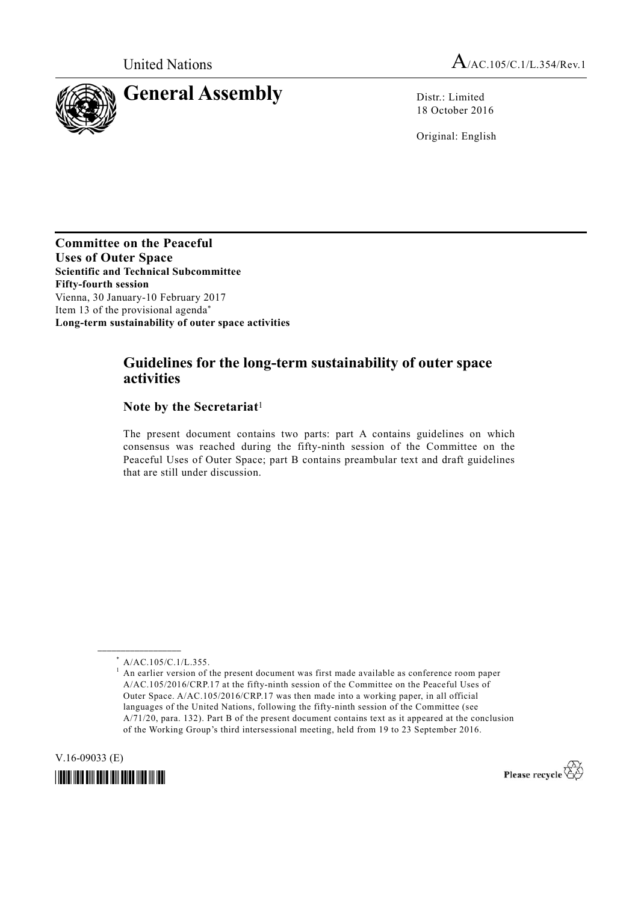

18 October 2016

Original: English

**Committee on the Peaceful Uses of Outer Space Scientific and Technical Subcommittee Fifty-fourth session**  Vienna, 30 January-10 February 2017 Item 13 of the provisional agenda\* **Long-term sustainability of outer space activities** 

# **Guidelines for the long-term sustainability of outer space activities**

# **Note by the Secretariat**<sup>1</sup>

The present document contains two parts: part A contains guidelines on which consensus was reached during the fifty-ninth session of the Committee on the Peaceful Uses of Outer Space; part B contains preambular text and draft guidelines that are still under discussion.

**\_\_\_\_\_\_\_\_\_\_\_\_\_\_\_\_\_\_** 

V.16-09033 (E)

*\*1609033\** 



<sup>\*</sup> A/AC.105/C.1/L.355.

<sup>&</sup>lt;sup>1</sup> An earlier version of the present document was first made available as conference room paper A/AC.105/2016/CRP.17 at the fifty-ninth session of the Committee on the Peaceful Uses of Outer Space. A/AC.105/2016/CRP.17 was then made into a working paper, in all official languages of the United Nations, following the fifty-ninth session of the Committee (see A/71/20, para. 132). Part B of the present document contains text as it appeared at the conclusion of the Working Group's third intersessional meeting, held from 19 to 23 September 2016.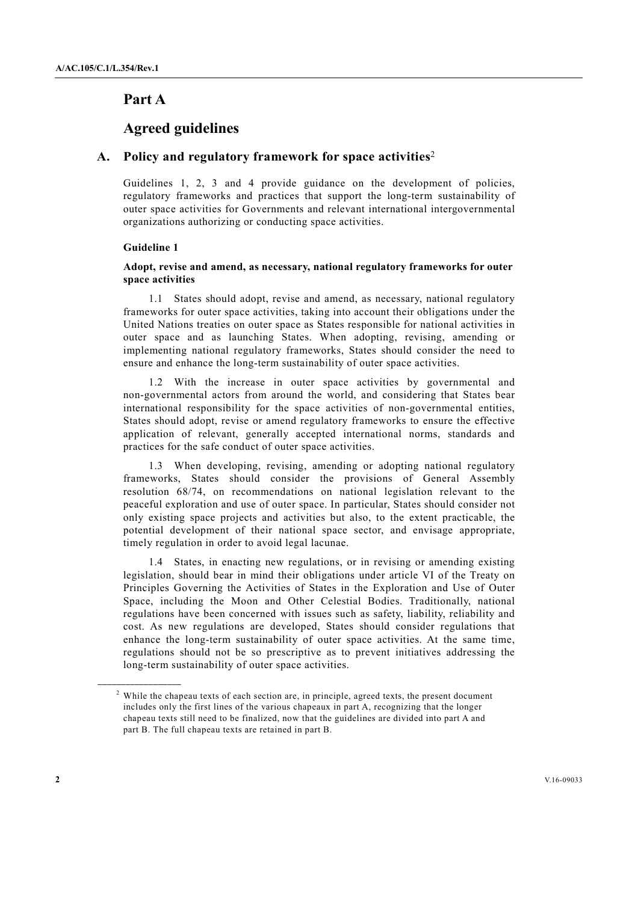# **Part A**

# **Agreed guidelines**

# **A. Policy and regulatory framework for space activities**<sup>2</sup>

Guidelines 1, 2, 3 and 4 provide guidance on the development of policies, regulatory frameworks and practices that support the long-term sustainability of outer space activities for Governments and relevant international intergovernmental organizations authorizing or conducting space activities.

#### **Guideline 1**

**\_\_\_\_\_\_\_\_\_\_\_\_\_\_\_\_\_\_** 

# **Adopt, revise and amend, as necessary, national regulatory frameworks for outer space activities**

 1.1 States should adopt, revise and amend, as necessary, national regulatory frameworks for outer space activities, taking into account their obligations under the United Nations treaties on outer space as States responsible for national activities in outer space and as launching States. When adopting, revising, amending or implementing national regulatory frameworks, States should consider the need to ensure and enhance the long-term sustainability of outer space activities.

With the increase in outer space activities by governmental and non-governmental actors from around the world, and considering that States bear international responsibility for the space activities of non-governmental entities, States should adopt, revise or amend regulatory frameworks to ensure the effective application of relevant, generally accepted international norms, standards and practices for the safe conduct of outer space activities.

 1.3 When developing, revising, amending or adopting national regulatory frameworks, States should consider the provisions of General Assembly resolution 68/74, on recommendations on national legislation relevant to the peaceful exploration and use of outer space. In particular, States should consider not only existing space projects and activities but also, to the extent practicable, the potential development of their national space sector, and envisage appropriate, timely regulation in order to avoid legal lacunae.

 1.4 States, in enacting new regulations, or in revising or amending existing legislation, should bear in mind their obligations under article VI of the Treaty on Principles Governing the Activities of States in the Exploration and Use of Outer Space, including the Moon and Other Celestial Bodies. Traditionally, national regulations have been concerned with issues such as safety, liability, reliability and cost. As new regulations are developed, States should consider regulations that enhance the long-term sustainability of outer space activities. At the same time, regulations should not be so prescriptive as to prevent initiatives addressing the long-term sustainability of outer space activities.

<sup>&</sup>lt;sup>2</sup> While the chapeau texts of each section are, in principle, agreed texts, the present document includes only the first lines of the various chapeaux in part A, recognizing that the longer chapeau texts still need to be finalized, now that the guidelines are divided into part A and part B. The full chapeau texts are retained in part B.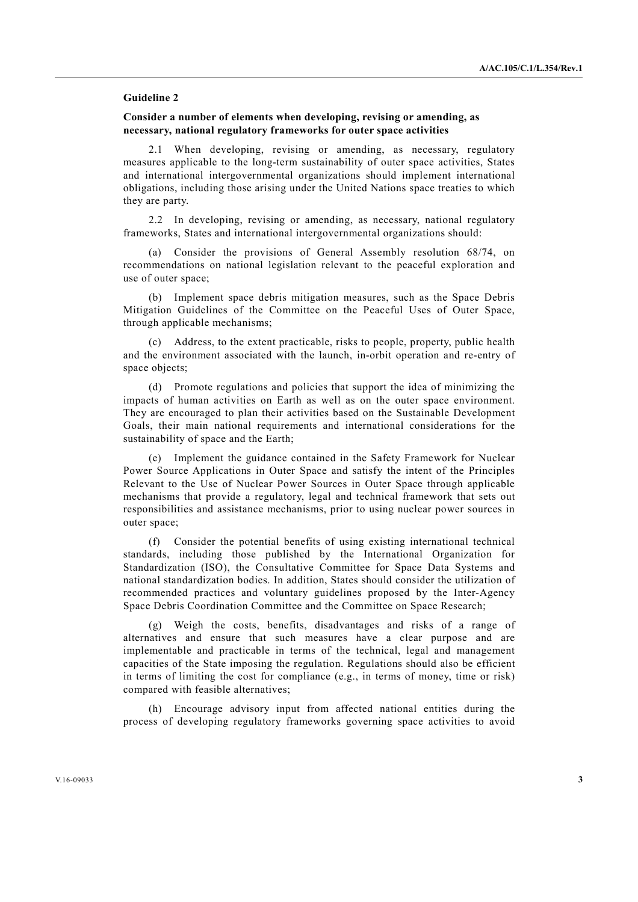#### **Guideline 2**

# **Consider a number of elements when developing, revising or amending, as necessary, national regulatory frameworks for outer space activities**

 2.1 When developing, revising or amending, as necessary, regulatory measures applicable to the long-term sustainability of outer space activities, States and international intergovernmental organizations should implement international obligations, including those arising under the United Nations space treaties to which they are party.

 2.2 In developing, revising or amending, as necessary, national regulatory frameworks, States and international intergovernmental organizations should:

 (a) Consider the provisions of General Assembly resolution 68/74, on recommendations on national legislation relevant to the peaceful exploration and use of outer space;

 (b) Implement space debris mitigation measures, such as the Space Debris Mitigation Guidelines of the Committee on the Peaceful Uses of Outer Space, through applicable mechanisms;

 (c) Address, to the extent practicable, risks to people, property, public health and the environment associated with the launch, in-orbit operation and re-entry of space objects;

 (d) Promote regulations and policies that support the idea of minimizing the impacts of human activities on Earth as well as on the outer space environment. They are encouraged to plan their activities based on the Sustainable Development Goals, their main national requirements and international considerations for the sustainability of space and the Earth;

 (e) Implement the guidance contained in the Safety Framework for Nuclear Power Source Applications in Outer Space and satisfy the intent of the Principles Relevant to the Use of Nuclear Power Sources in Outer Space through applicable mechanisms that provide a regulatory, legal and technical framework that sets out responsibilities and assistance mechanisms, prior to using nuclear power sources in outer space;

 (f) Consider the potential benefits of using existing international technical standards, including those published by the International Organization for Standardization (ISO), the Consultative Committee for Space Data Systems and national standardization bodies. In addition, States should consider the utilization of recommended practices and voluntary guidelines proposed by the Inter-Agency Space Debris Coordination Committee and the Committee on Space Research;

 (g) Weigh the costs, benefits, disadvantages and risks of a range of alternatives and ensure that such measures have a clear purpose and are implementable and practicable in terms of the technical, legal and management capacities of the State imposing the regulation. Regulations should also be efficient in terms of limiting the cost for compliance (e.g., in terms of money, time or risk) compared with feasible alternatives;

 (h) Encourage advisory input from affected national entities during the process of developing regulatory frameworks governing space activities to avoid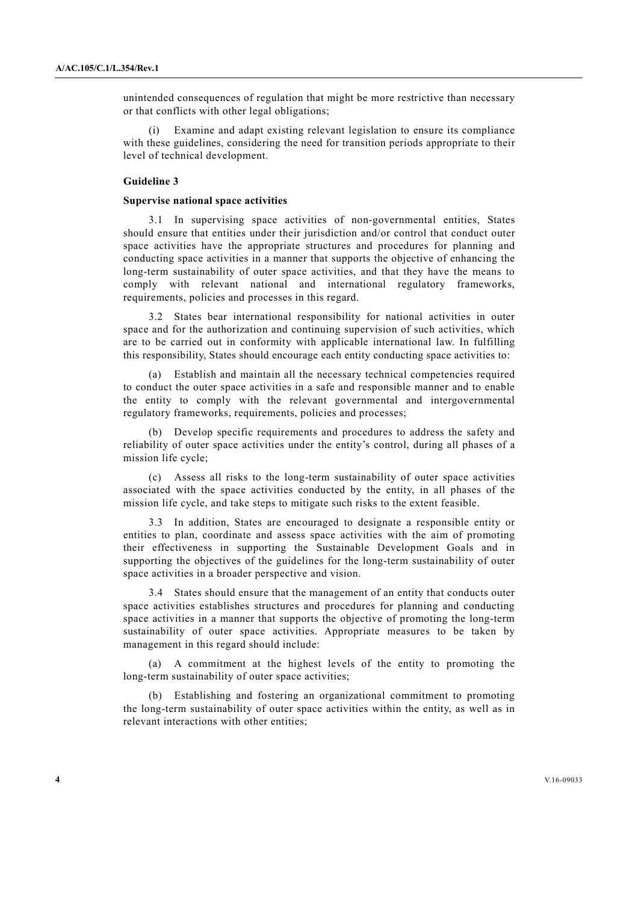unintended consequences of regulation that might be more restrictive than necessary or that conflicts with other legal obligations;

Examine and adapt existing relevant legislation to ensure its compliance with these guidelines, considering the need for transition periods appropriate to their level of technical development.

## **Guideline 3**

#### **Supervise national space activities**

 3.1 In supervising space activities of non-governmental entities, States should ensure that entities under their jurisdiction and/or control that conduct outer space activities have the appropriate structures and procedures for planning and conducting space activities in a manner that supports the objective of enhancing the long-term sustainability of outer space activities, and that they have the means to comply with relevant national and international regulatory frameworks, requirements, policies and processes in this regard.

 3.2 States bear international responsibility for national activities in outer space and for the authorization and continuing supervision of such activities, which are to be carried out in conformity with applicable international law. In fulfilling this responsibility, States should encourage each entity conducting space activities to:

 (a) Establish and maintain all the necessary technical competencies required to conduct the outer space activities in a safe and responsible manner and to enable the entity to comply with the relevant governmental and intergovernmental regulatory frameworks, requirements, policies and processes;

 (b) Develop specific requirements and procedures to address the safety and reliability of outer space activities under the entity's control, during all phases of a mission life cycle;

 (c) Assess all risks to the long-term sustainability of outer space activities associated with the space activities conducted by the entity, in all phases of the mission life cycle, and take steps to mitigate such risks to the extent feasible.

 3.3 In addition, States are encouraged to designate a responsible entity or entities to plan, coordinate and assess space activities with the aim of promoting their effectiveness in supporting the Sustainable Development Goals and in supporting the objectives of the guidelines for the long-term sustainability of outer space activities in a broader perspective and vision.

 3.4 States should ensure that the management of an entity that conducts outer space activities establishes structures and procedures for planning and conducting space activities in a manner that supports the objective of promoting the long-term sustainability of outer space activities. Appropriate measures to be taken by management in this regard should include:

 (a) A commitment at the highest levels of the entity to promoting the long-term sustainability of outer space activities;

 (b) Establishing and fostering an organizational commitment to promoting the long-term sustainability of outer space activities within the entity, as well as in relevant interactions with other entities;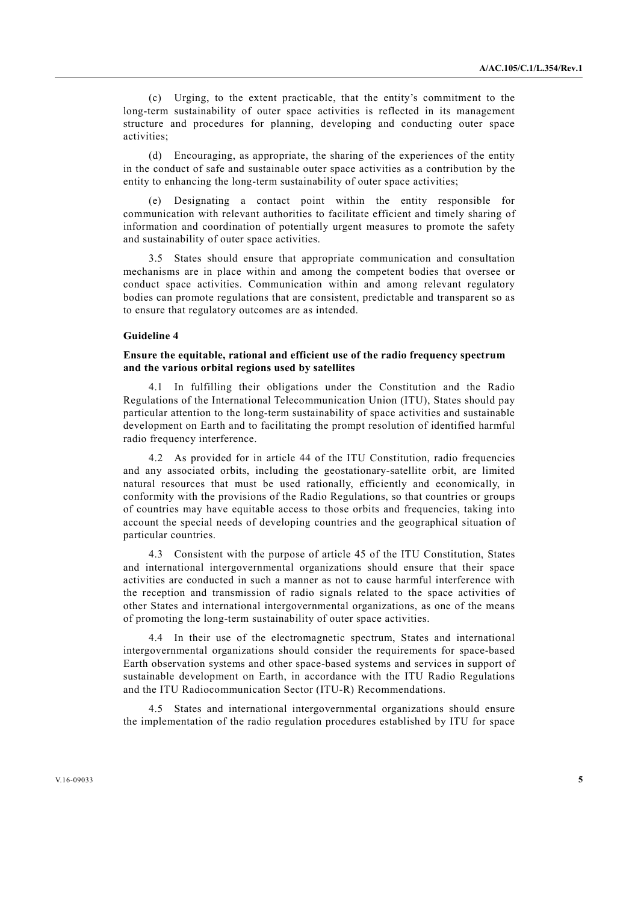(c) Urging, to the extent practicable, that the entity's commitment to the long-term sustainability of outer space activities is reflected in its management structure and procedures for planning, developing and conducting outer space activities;

 (d) Encouraging, as appropriate, the sharing of the experiences of the entity in the conduct of safe and sustainable outer space activities as a contribution by the entity to enhancing the long-term sustainability of outer space activities;

 (e) Designating a contact point within the entity responsible for communication with relevant authorities to facilitate efficient and timely sharing of information and coordination of potentially urgent measures to promote the safety and sustainability of outer space activities.

 3.5 States should ensure that appropriate communication and consultation mechanisms are in place within and among the competent bodies that oversee or conduct space activities. Communication within and among relevant regulatory bodies can promote regulations that are consistent, predictable and transparent so as to ensure that regulatory outcomes are as intended.

#### **Guideline 4**

# **Ensure the equitable, rational and efficient use of the radio frequency spectrum and the various orbital regions used by satellites**

 4.1 In fulfilling their obligations under the Constitution and the Radio Regulations of the International Telecommunication Union (ITU), States should pay particular attention to the long-term sustainability of space activities and sustainable development on Earth and to facilitating the prompt resolution of identified harmful radio frequency interference.

 4.2 As provided for in article 44 of the ITU Constitution, radio frequencies and any associated orbits, including the geostationary-satellite orbit, are limited natural resources that must be used rationally, efficiently and economically, in conformity with the provisions of the Radio Regulations, so that countries or groups of countries may have equitable access to those orbits and frequencies, taking into account the special needs of developing countries and the geographical situation of particular countries.

 4.3 Consistent with the purpose of article 45 of the ITU Constitution, States and international intergovernmental organizations should ensure that their space activities are conducted in such a manner as not to cause harmful interference with the reception and transmission of radio signals related to the space activities of other States and international intergovernmental organizations, as one of the means of promoting the long-term sustainability of outer space activities.

 4.4 In their use of the electromagnetic spectrum, States and international intergovernmental organizations should consider the requirements for space-based Earth observation systems and other space-based systems and services in support of sustainable development on Earth, in accordance with the ITU Radio Regulations and the ITU Radiocommunication Sector (ITU-R) Recommendations.

 4.5 States and international intergovernmental organizations should ensure the implementation of the radio regulation procedures established by ITU for space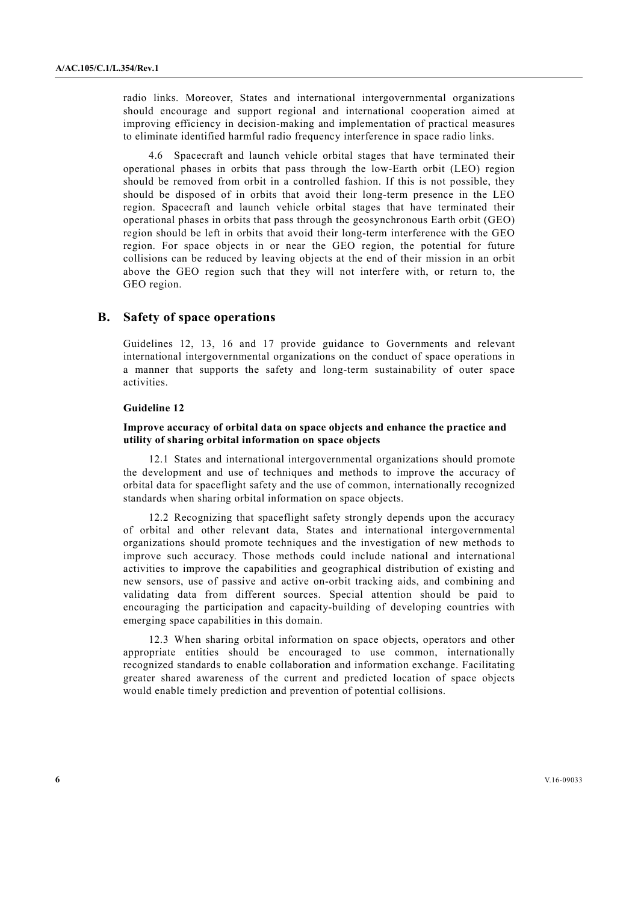radio links. Moreover, States and international intergovernmental organizations should encourage and support regional and international cooperation aimed at improving efficiency in decision-making and implementation of practical measures to eliminate identified harmful radio frequency interference in space radio links.

 4.6 Spacecraft and launch vehicle orbital stages that have terminated their operational phases in orbits that pass through the low-Earth orbit (LEO) region should be removed from orbit in a controlled fashion. If this is not possible, they should be disposed of in orbits that avoid their long-term presence in the LEO region. Spacecraft and launch vehicle orbital stages that have terminated their operational phases in orbits that pass through the geosynchronous Earth orbit (GEO) region should be left in orbits that avoid their long-term interference with the GEO region. For space objects in or near the GEO region, the potential for future collisions can be reduced by leaving objects at the end of their mission in an orbit above the GEO region such that they will not interfere with, or return to, the GEO region.

# **B. Safety of space operations**

Guidelines 12, 13, 16 and 17 provide guidance to Governments and relevant international intergovernmental organizations on the conduct of space operations in a manner that supports the safety and long-term sustainability of outer space activities.

## **Guideline 12**

# **Improve accuracy of orbital data on space objects and enhance the practice and utility of sharing orbital information on space objects**

 12.1 States and international intergovernmental organizations should promote the development and use of techniques and methods to improve the accuracy of orbital data for spaceflight safety and the use of common, internationally recognized standards when sharing orbital information on space objects.

 12.2 Recognizing that spaceflight safety strongly depends upon the accuracy of orbital and other relevant data, States and international intergovernmental organizations should promote techniques and the investigation of new methods to improve such accuracy. Those methods could include national and international activities to improve the capabilities and geographical distribution of existing and new sensors, use of passive and active on-orbit tracking aids, and combining and validating data from different sources. Special attention should be paid to encouraging the participation and capacity-building of developing countries with emerging space capabilities in this domain.

 12.3 When sharing orbital information on space objects, operators and other appropriate entities should be encouraged to use common, internationally recognized standards to enable collaboration and information exchange. Facilitating greater shared awareness of the current and predicted location of space objects would enable timely prediction and prevention of potential collisions.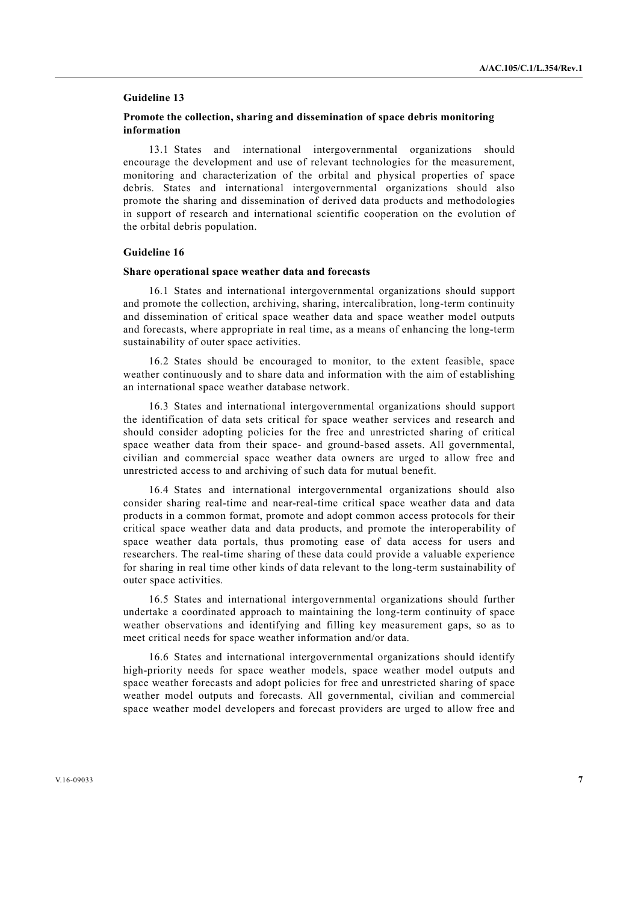#### **Guideline 13**

# **Promote the collection, sharing and dissemination of space debris monitoring information**

 13.1 States and international intergovernmental organizations should encourage the development and use of relevant technologies for the measurement, monitoring and characterization of the orbital and physical properties of space debris. States and international intergovernmental organizations should also promote the sharing and dissemination of derived data products and methodologies in support of research and international scientific cooperation on the evolution of the orbital debris population.

### **Guideline 16**

#### **Share operational space weather data and forecasts**

 16.1 States and international intergovernmental organizations should support and promote the collection, archiving, sharing, intercalibration, long-term continuity and dissemination of critical space weather data and space weather model outputs and forecasts, where appropriate in real time, as a means of enhancing the long-term sustainability of outer space activities.

 16.2 States should be encouraged to monitor, to the extent feasible, space weather continuously and to share data and information with the aim of establishing an international space weather database network.

 16.3 States and international intergovernmental organizations should support the identification of data sets critical for space weather services and research and should consider adopting policies for the free and unrestricted sharing of critical space weather data from their space- and ground-based assets. All governmental, civilian and commercial space weather data owners are urged to allow free and unrestricted access to and archiving of such data for mutual benefit.

 16.4 States and international intergovernmental organizations should also consider sharing real-time and near-real-time critical space weather data and data products in a common format, promote and adopt common access protocols for their critical space weather data and data products, and promote the interoperability of space weather data portals, thus promoting ease of data access for users and researchers. The real-time sharing of these data could provide a valuable experience for sharing in real time other kinds of data relevant to the long-term sustainability of outer space activities.

 16.5 States and international intergovernmental organizations should further undertake a coordinated approach to maintaining the long-term continuity of space weather observations and identifying and filling key measurement gaps, so as to meet critical needs for space weather information and/or data.

 16.6 States and international intergovernmental organizations should identify high-priority needs for space weather models, space weather model outputs and space weather forecasts and adopt policies for free and unrestricted sharing of space weather model outputs and forecasts. All governmental, civilian and commercial space weather model developers and forecast providers are urged to allow free and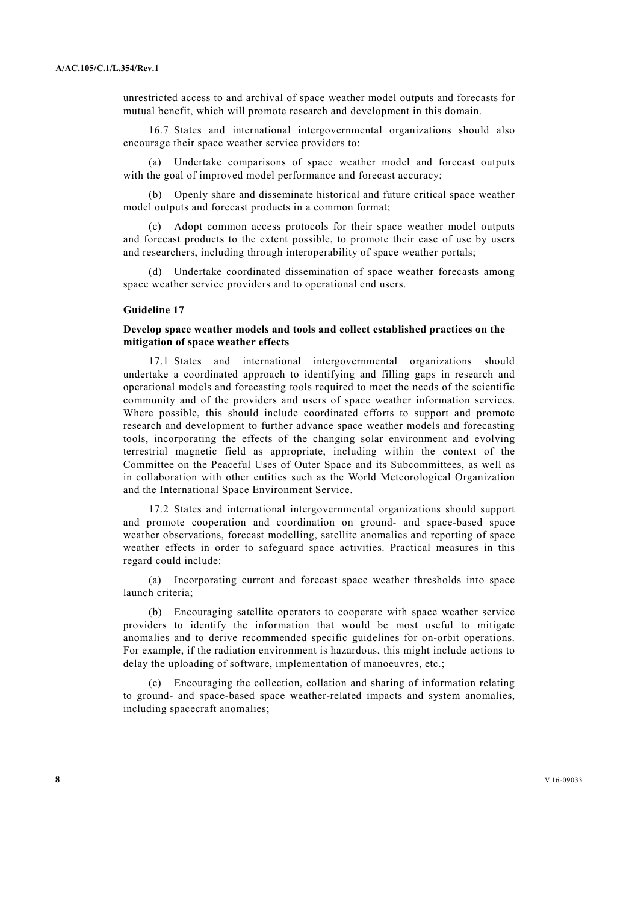unrestricted access to and archival of space weather model outputs and forecasts for mutual benefit, which will promote research and development in this domain.

 16.7 States and international intergovernmental organizations should also encourage their space weather service providers to:

Undertake comparisons of space weather model and forecast outputs with the goal of improved model performance and forecast accuracy;

 (b) Openly share and disseminate historical and future critical space weather model outputs and forecast products in a common format;

 (c) Adopt common access protocols for their space weather model outputs and forecast products to the extent possible, to promote their ease of use by users and researchers, including through interoperability of space weather portals;

 (d) Undertake coordinated dissemination of space weather forecasts among space weather service providers and to operational end users.

#### **Guideline 17**

#### **Develop space weather models and tools and collect established practices on the mitigation of space weather effects**

 17.1 States and international intergovernmental organizations should undertake a coordinated approach to identifying and filling gaps in research and operational models and forecasting tools required to meet the needs of the scientific community and of the providers and users of space weather information services. Where possible, this should include coordinated efforts to support and promote research and development to further advance space weather models and forecasting tools, incorporating the effects of the changing solar environment and evolving terrestrial magnetic field as appropriate, including within the context of the Committee on the Peaceful Uses of Outer Space and its Subcommittees, as well as in collaboration with other entities such as the World Meteorological Organization and the International Space Environment Service.

 17.2 States and international intergovernmental organizations should support and promote cooperation and coordination on ground- and space-based space weather observations, forecast modelling, satellite anomalies and reporting of space weather effects in order to safeguard space activities. Practical measures in this regard could include:

 (a) Incorporating current and forecast space weather thresholds into space launch criteria;

 (b) Encouraging satellite operators to cooperate with space weather service providers to identify the information that would be most useful to mitigate anomalies and to derive recommended specific guidelines for on-orbit operations. For example, if the radiation environment is hazardous, this might include actions to delay the uploading of software, implementation of manoeuvres, etc.;

 (c) Encouraging the collection, collation and sharing of information relating to ground- and space-based space weather-related impacts and system anomalies, including spacecraft anomalies;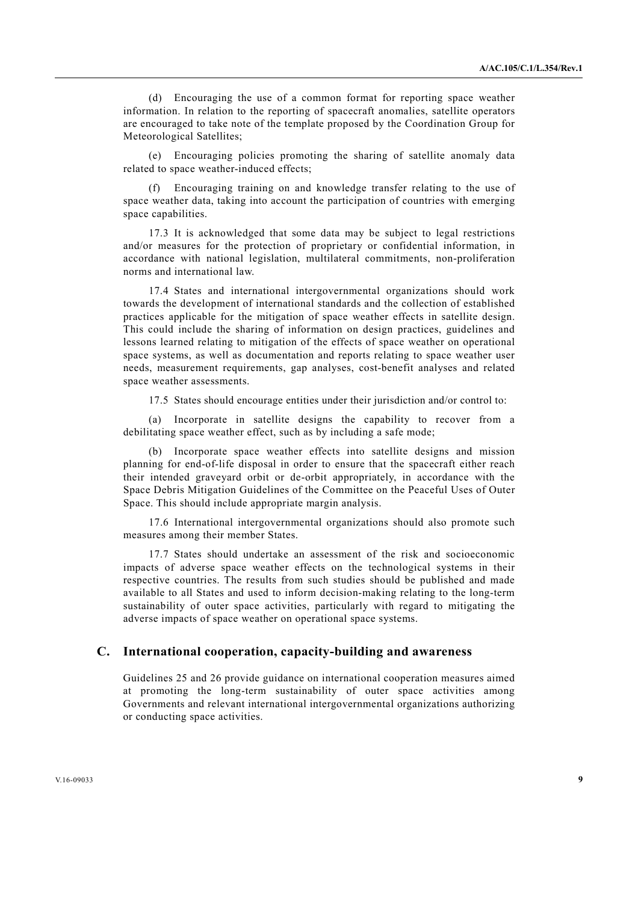(d) Encouraging the use of a common format for reporting space weather information. In relation to the reporting of spacecraft anomalies, satellite operators are encouraged to take note of the template proposed by the Coordination Group for Meteorological Satellites;

 (e) Encouraging policies promoting the sharing of satellite anomaly data related to space weather-induced effects;

 (f) Encouraging training on and knowledge transfer relating to the use of space weather data, taking into account the participation of countries with emerging space capabilities.

 17.3 It is acknowledged that some data may be subject to legal restrictions and/or measures for the protection of proprietary or confidential information, in accordance with national legislation, multilateral commitments, non-proliferation norms and international law.

 17.4 States and international intergovernmental organizations should work towards the development of international standards and the collection of established practices applicable for the mitigation of space weather effects in satellite design. This could include the sharing of information on design practices, guidelines and lessons learned relating to mitigation of the effects of space weather on operational space systems, as well as documentation and reports relating to space weather user needs, measurement requirements, gap analyses, cost-benefit analyses and related space weather assessments.

17.5 States should encourage entities under their jurisdiction and/or control to:

 (a) Incorporate in satellite designs the capability to recover from a debilitating space weather effect, such as by including a safe mode;

 (b) Incorporate space weather effects into satellite designs and mission planning for end-of-life disposal in order to ensure that the spacecraft either reach their intended graveyard orbit or de-orbit appropriately, in accordance with the Space Debris Mitigation Guidelines of the Committee on the Peaceful Uses of Outer Space. This should include appropriate margin analysis.

 17.6 International intergovernmental organizations should also promote such measures among their member States.

 17.7 States should undertake an assessment of the risk and socioeconomic impacts of adverse space weather effects on the technological systems in their respective countries. The results from such studies should be published and made available to all States and used to inform decision-making relating to the long-term sustainability of outer space activities, particularly with regard to mitigating the adverse impacts of space weather on operational space systems.

# **C. International cooperation, capacity-building and awareness**

Guidelines 25 and 26 provide guidance on international cooperation measures aimed at promoting the long-term sustainability of outer space activities among Governments and relevant international intergovernmental organizations authorizing or conducting space activities.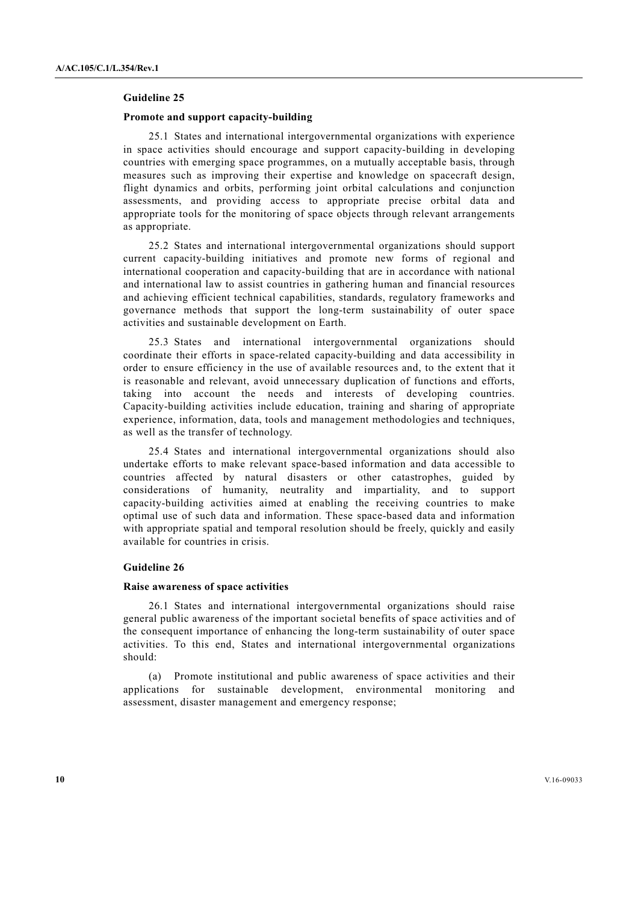#### **Guideline 25**

#### **Promote and support capacity-building**

 25.1 States and international intergovernmental organizations with experience in space activities should encourage and support capacity-building in developing countries with emerging space programmes, on a mutually acceptable basis, through measures such as improving their expertise and knowledge on spacecraft design, flight dynamics and orbits, performing joint orbital calculations and conjunction assessments, and providing access to appropriate precise orbital data and appropriate tools for the monitoring of space objects through relevant arrangements as appropriate.

 25.2 States and international intergovernmental organizations should support current capacity-building initiatives and promote new forms of regional and international cooperation and capacity-building that are in accordance with national and international law to assist countries in gathering human and financial resources and achieving efficient technical capabilities, standards, regulatory frameworks and governance methods that support the long-term sustainability of outer space activities and sustainable development on Earth.

 25.3 States and international intergovernmental organizations should coordinate their efforts in space-related capacity-building and data accessibility in order to ensure efficiency in the use of available resources and, to the extent that it is reasonable and relevant, avoid unnecessary duplication of functions and efforts, taking into account the needs and interests of developing countries. Capacity-building activities include education, training and sharing of appropriate experience, information, data, tools and management methodologies and techniques, as well as the transfer of technology.

 25.4 States and international intergovernmental organizations should also undertake efforts to make relevant space-based information and data accessible to countries affected by natural disasters or other catastrophes, guided by considerations of humanity, neutrality and impartiality, and to support capacity-building activities aimed at enabling the receiving countries to make optimal use of such data and information. These space-based data and information with appropriate spatial and temporal resolution should be freely, quickly and easily available for countries in crisis.

# **Guideline 26**

#### **Raise awareness of space activities**

 26.1 States and international intergovernmental organizations should raise general public awareness of the important societal benefits of space activities and of the consequent importance of enhancing the long-term sustainability of outer space activities. To this end, States and international intergovernmental organizations should:

 (a) Promote institutional and public awareness of space activities and their applications for sustainable development, environmental monitoring and assessment, disaster management and emergency response;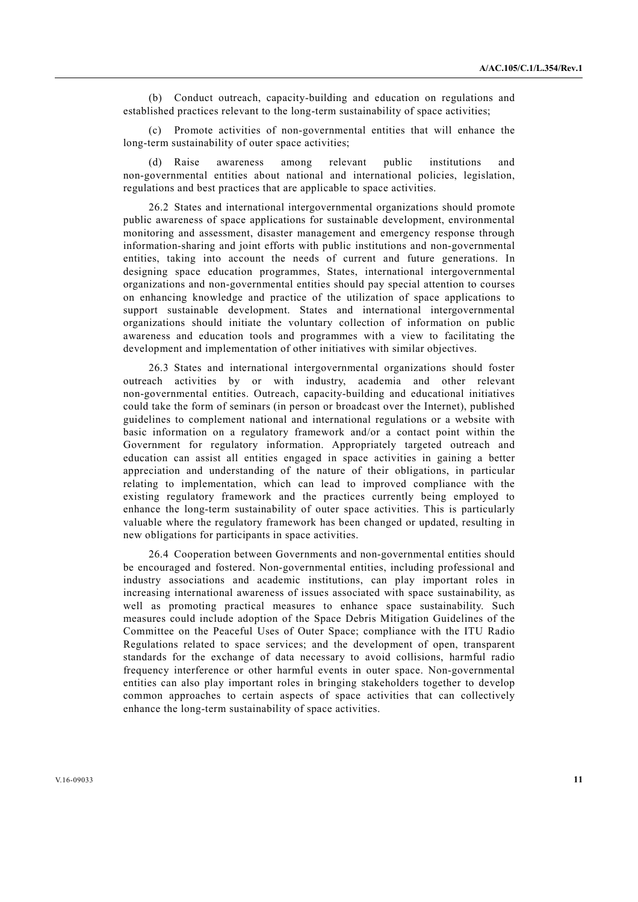(b) Conduct outreach, capacity-building and education on regulations and established practices relevant to the long-term sustainability of space activities;

 (c) Promote activities of non-governmental entities that will enhance the long-term sustainability of outer space activities;

 (d) Raise awareness among relevant public institutions and non-governmental entities about national and international policies, legislation, regulations and best practices that are applicable to space activities.

 26.2 States and international intergovernmental organizations should promote public awareness of space applications for sustainable development, environmental monitoring and assessment, disaster management and emergency response through information-sharing and joint efforts with public institutions and non-governmental entities, taking into account the needs of current and future generations. In designing space education programmes, States, international intergovernmental organizations and non-governmental entities should pay special attention to courses on enhancing knowledge and practice of the utilization of space applications to support sustainable development. States and international intergovernmental organizations should initiate the voluntary collection of information on public awareness and education tools and programmes with a view to facilitating the development and implementation of other initiatives with similar objectives.

 26.3 States and international intergovernmental organizations should foster outreach activities by or with industry, academia and other relevant non-governmental entities. Outreach, capacity-building and educational initiatives could take the form of seminars (in person or broadcast over the Internet), published guidelines to complement national and international regulations or a website with basic information on a regulatory framework and/or a contact point within the Government for regulatory information. Appropriately targeted outreach and education can assist all entities engaged in space activities in gaining a better appreciation and understanding of the nature of their obligations, in particular relating to implementation, which can lead to improved compliance with the existing regulatory framework and the practices currently being employed to enhance the long-term sustainability of outer space activities. This is particularly valuable where the regulatory framework has been changed or updated, resulting in new obligations for participants in space activities.

 26.4 Cooperation between Governments and non-governmental entities should be encouraged and fostered. Non-governmental entities, including professional and industry associations and academic institutions, can play important roles in increasing international awareness of issues associated with space sustainability, as well as promoting practical measures to enhance space sustainability. Such measures could include adoption of the Space Debris Mitigation Guidelines of the Committee on the Peaceful Uses of Outer Space; compliance with the ITU Radio Regulations related to space services; and the development of open, transparent standards for the exchange of data necessary to avoid collisions, harmful radio frequency interference or other harmful events in outer space. Non-governmental entities can also play important roles in bringing stakeholders together to develop common approaches to certain aspects of space activities that can collectively enhance the long-term sustainability of space activities.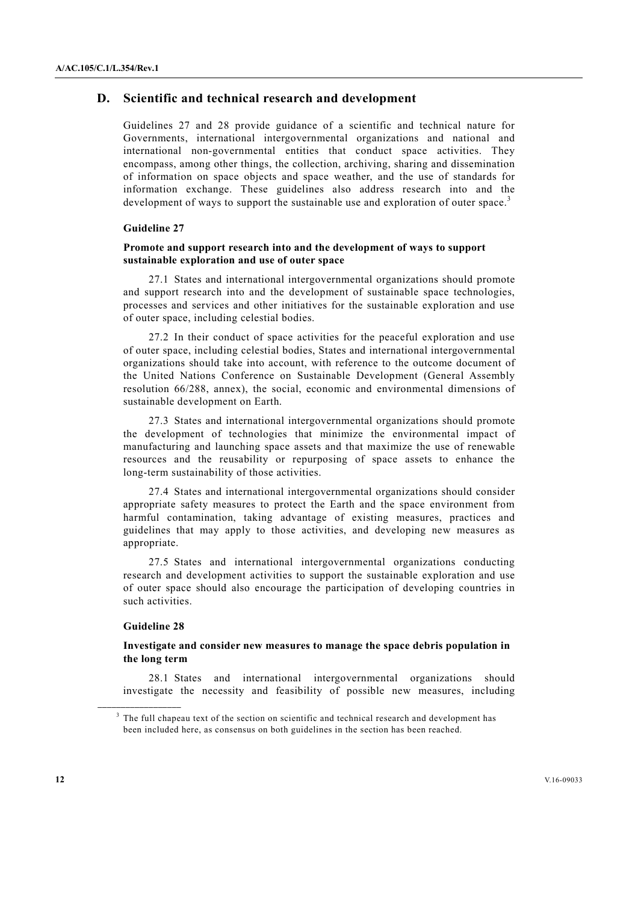# **D. Scientific and technical research and development**

Guidelines 27 and 28 provide guidance of a scientific and technical nature for Governments, international intergovernmental organizations and national and international non-governmental entities that conduct space activities. They encompass, among other things, the collection, archiving, sharing and dissemination of information on space objects and space weather, and the use of standards for information exchange. These guidelines also address research into and the development of ways to support the sustainable use and exploration of outer space.<sup>3</sup>

# **Guideline 27**

#### **Promote and support research into and the development of ways to support sustainable exploration and use of outer space**

 27.1 States and international intergovernmental organizations should promote and support research into and the development of sustainable space technologies, processes and services and other initiatives for the sustainable exploration and use of outer space, including celestial bodies.

 27.2 In their conduct of space activities for the peaceful exploration and use of outer space, including celestial bodies, States and international intergovernmental organizations should take into account, with reference to the outcome document of the United Nations Conference on Sustainable Development (General Assembly resolution 66/288, annex), the social, economic and environmental dimensions of sustainable development on Earth.

 27.3 States and international intergovernmental organizations should promote the development of technologies that minimize the environmental impact of manufacturing and launching space assets and that maximize the use of renewable resources and the reusability or repurposing of space assets to enhance the long-term sustainability of those activities.

 27.4 States and international intergovernmental organizations should consider appropriate safety measures to protect the Earth and the space environment from harmful contamination, taking advantage of existing measures, practices and guidelines that may apply to those activities, and developing new measures as appropriate.

 27.5 States and international intergovernmental organizations conducting research and development activities to support the sustainable exploration and use of outer space should also encourage the participation of developing countries in such activities.

## **Guideline 28**

**\_\_\_\_\_\_\_\_\_\_\_\_\_\_\_\_\_\_** 

# **Investigate and consider new measures to manage the space debris population in the long term**

 28.1 States and international intergovernmental organizations should investigate the necessity and feasibility of possible new measures, including

<sup>&</sup>lt;sup>3</sup> The full chapeau text of the section on scientific and technical research and development has been included here, as consensus on both guidelines in the section has been reached.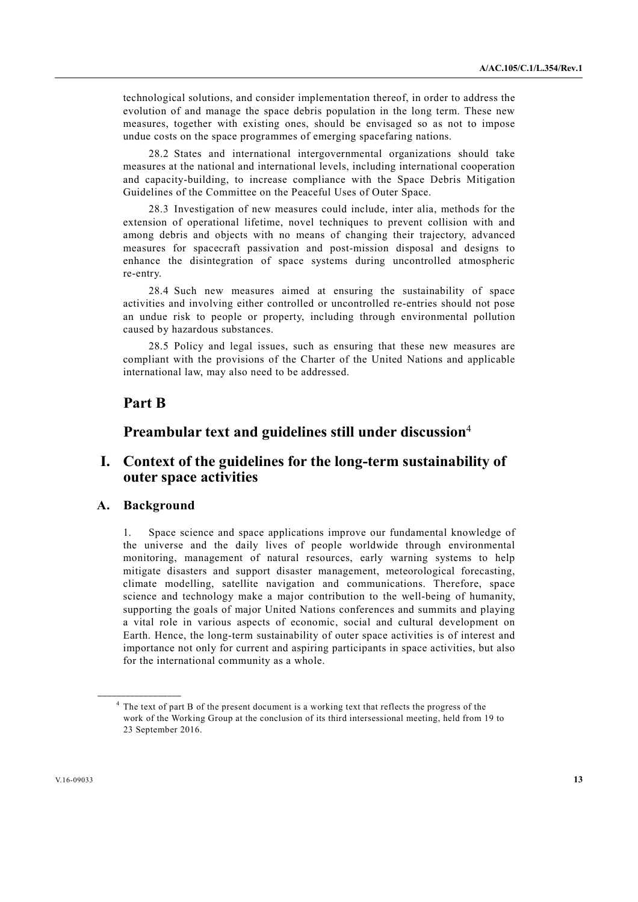technological solutions, and consider implementation thereof, in order to address the evolution of and manage the space debris population in the long term. These new measures, together with existing ones, should be envisaged so as not to impose undue costs on the space programmes of emerging spacefaring nations.

 28.2 States and international intergovernmental organizations should take measures at the national and international levels, including international cooperation and capacity-building, to increase compliance with the Space Debris Mitigation Guidelines of the Committee on the Peaceful Uses of Outer Space.

 28.3 Investigation of new measures could include, inter alia, methods for the extension of operational lifetime, novel techniques to prevent collision with and among debris and objects with no means of changing their trajectory, advanced measures for spacecraft passivation and post-mission disposal and designs to enhance the disintegration of space systems during uncontrolled atmospheric re-entry.

 28.4 Such new measures aimed at ensuring the sustainability of space activities and involving either controlled or uncontrolled re-entries should not pose an undue risk to people or property, including through environmental pollution caused by hazardous substances.

 28.5 Policy and legal issues, such as ensuring that these new measures are compliant with the provisions of the Charter of the United Nations and applicable international law, may also need to be addressed.

# **Part B**

# **Preambular text and guidelines still under discussion**<sup>4</sup>

# **I. Context of the guidelines for the long-term sustainability of outer space activities**

# **A. Background**

**\_\_\_\_\_\_\_\_\_\_\_\_\_\_\_\_\_\_** 

1. Space science and space applications improve our fundamental knowledge of the universe and the daily lives of people worldwide through environmental monitoring, management of natural resources, early warning systems to help mitigate disasters and support disaster management, meteorological forecasting, climate modelling, satellite navigation and communications. Therefore, space science and technology make a major contribution to the well-being of humanity, supporting the goals of major United Nations conferences and summits and playing a vital role in various aspects of economic, social and cultural development on Earth. Hence, the long-term sustainability of outer space activities is of interest and importance not only for current and aspiring participants in space activities, but also for the international community as a whole.

<sup>&</sup>lt;sup>4</sup> The text of part B of the present document is a working text that reflects the progress of the work of the Working Group at the conclusion of its third intersessional meeting, held from 19 to 23 September 2016.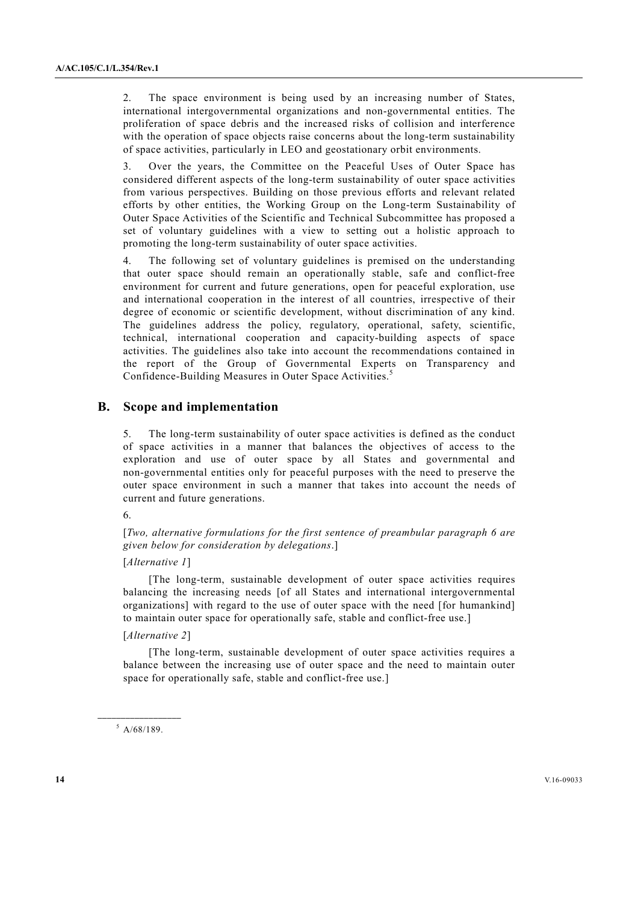2. The space environment is being used by an increasing number of States, international intergovernmental organizations and non-governmental entities. The proliferation of space debris and the increased risks of collision and interference with the operation of space objects raise concerns about the long-term sustainability of space activities, particularly in LEO and geostationary orbit environments.

3. Over the years, the Committee on the Peaceful Uses of Outer Space has considered different aspects of the long-term sustainability of outer space activities from various perspectives. Building on those previous efforts and relevant related efforts by other entities, the Working Group on the Long-term Sustainability of Outer Space Activities of the Scientific and Technical Subcommittee has proposed a set of voluntary guidelines with a view to setting out a holistic approach to promoting the long-term sustainability of outer space activities.

4. The following set of voluntary guidelines is premised on the understanding that outer space should remain an operationally stable, safe and conflict-free environment for current and future generations, open for peaceful exploration, use and international cooperation in the interest of all countries, irrespective of their degree of economic or scientific development, without discrimination of any kind. The guidelines address the policy, regulatory, operational, safety, scientific, technical, international cooperation and capacity-building aspects of space activities. The guidelines also take into account the recommendations contained in the report of the Group of Governmental Experts on Transparency and Confidence-Building Measures in Outer Space Activities.<sup>5</sup>

# **B. Scope and implementation**

5. The long-term sustainability of outer space activities is defined as the conduct of space activities in a manner that balances the objectives of access to the exploration and use of outer space by all States and governmental and non-governmental entities only for peaceful purposes with the need to preserve the outer space environment in such a manner that takes into account the needs of current and future generations.

6.

[*Two, alternative formulations for the first sentence of preambular paragraph 6 are given below for consideration by delegations*.]

#### [*Alternative 1*]

 [The long-term, sustainable development of outer space activities requires balancing the increasing needs [of all States and international intergovernmental organizations] with regard to the use of outer space with the need [for humankind] to maintain outer space for operationally safe, stable and conflict-free use.]

#### [*Alternative 2*]

 [The long-term, sustainable development of outer space activities requires a balance between the increasing use of outer space and the need to maintain outer space for operationally safe, stable and conflict-free use.]

**\_\_\_\_\_\_\_\_\_\_\_\_\_\_\_\_\_\_**   $5$  A/68/189.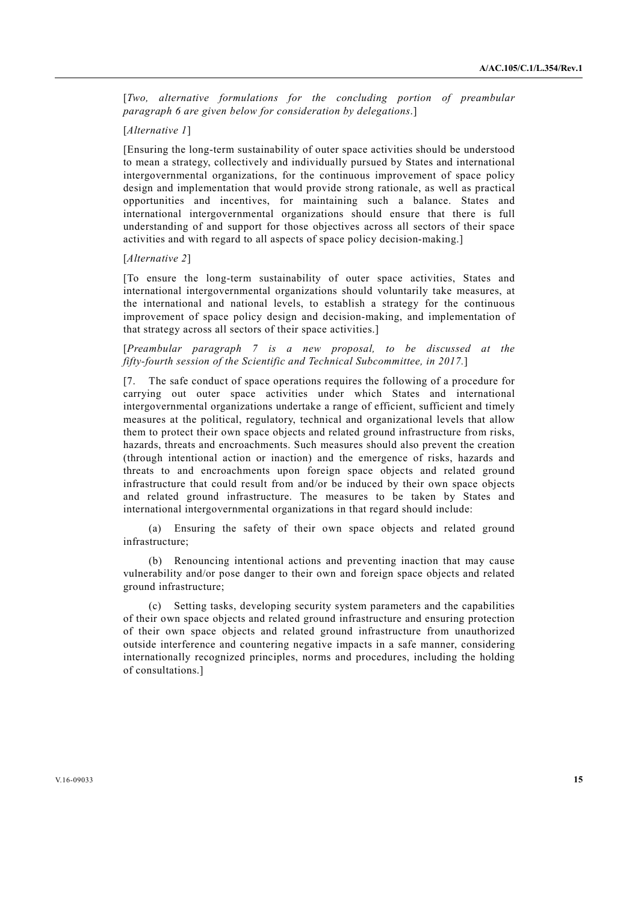[*Two, alternative formulations for the concluding portion of preambular paragraph 6 are given below for consideration by delegations*.]

# [*Alternative 1*]

[Ensuring the long-term sustainability of outer space activities should be understood to mean a strategy, collectively and individually pursued by States and international intergovernmental organizations, for the continuous improvement of space policy design and implementation that would provide strong rationale, as well as practical opportunities and incentives, for maintaining such a balance. States and international intergovernmental organizations should ensure that there is full understanding of and support for those objectives across all sectors of their space activities and with regard to all aspects of space policy decision-making.]

#### [*Alternative 2*]

[To ensure the long-term sustainability of outer space activities, States and international intergovernmental organizations should voluntarily take measures, at the international and national levels, to establish a strategy for the continuous improvement of space policy design and decision-making, and implementation of that strategy across all sectors of their space activities.]

[*Preambular paragraph 7 is a new proposal, to be discussed at the fifty-fourth session of the Scientific and Technical Subcommittee, in 2017.*]

[7. The safe conduct of space operations requires the following of a procedure for carrying out outer space activities under which States and international intergovernmental organizations undertake a range of efficient, sufficient and timely measures at the political, regulatory, technical and organizational levels that allow them to protect their own space objects and related ground infrastructure from risks, hazards, threats and encroachments. Such measures should also prevent the creation (through intentional action or inaction) and the emergence of risks, hazards and threats to and encroachments upon foreign space objects and related ground infrastructure that could result from and/or be induced by their own space objects and related ground infrastructure. The measures to be taken by States and international intergovernmental organizations in that regard should include:

 (a) Ensuring the safety of their own space objects and related ground infrastructure;

 (b) Renouncing intentional actions and preventing inaction that may cause vulnerability and/or pose danger to their own and foreign space objects and related ground infrastructure;

 (c) Setting tasks, developing security system parameters and the capabilities of their own space objects and related ground infrastructure and ensuring protection of their own space objects and related ground infrastructure from unauthorized outside interference and countering negative impacts in a safe manner, considering internationally recognized principles, norms and procedures, including the holding of consultations.]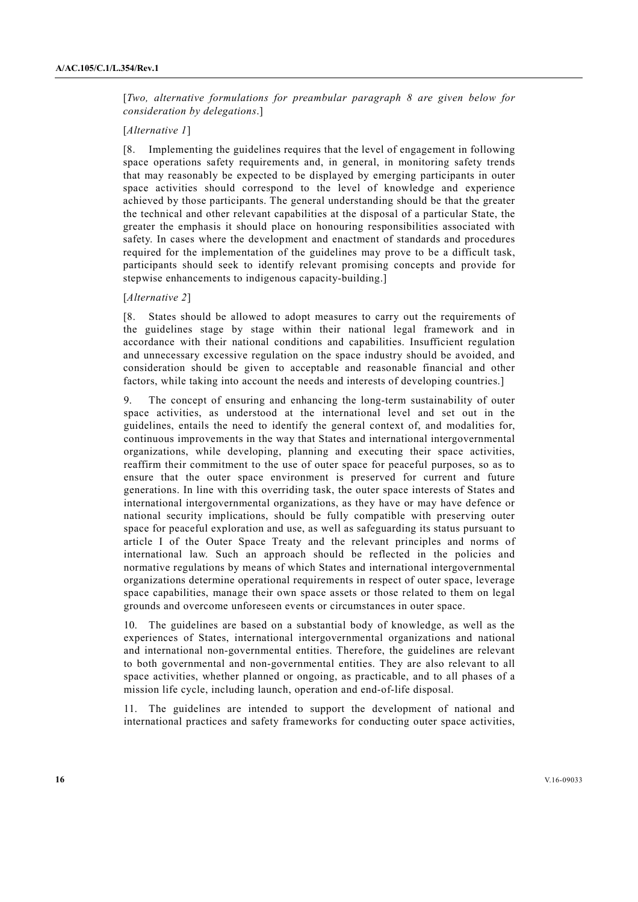[*Two, alternative formulations for preambular paragraph 8 are given below for consideration by delegations*.]

#### [*Alternative 1*]

[8. Implementing the guidelines requires that the level of engagement in following space operations safety requirements and, in general, in monitoring safety trends that may reasonably be expected to be displayed by emerging participants in outer space activities should correspond to the level of knowledge and experience achieved by those participants. The general understanding should be that the greater the technical and other relevant capabilities at the disposal of a particular State, the greater the emphasis it should place on honouring responsibilities associated with safety. In cases where the development and enactment of standards and procedures required for the implementation of the guidelines may prove to be a difficult task, participants should seek to identify relevant promising concepts and provide for stepwise enhancements to indigenous capacity-building.]

#### [*Alternative 2*]

[8. States should be allowed to adopt measures to carry out the requirements of the guidelines stage by stage within their national legal framework and in accordance with their national conditions and capabilities. Insufficient regulation and unnecessary excessive regulation on the space industry should be avoided, and consideration should be given to acceptable and reasonable financial and other factors, while taking into account the needs and interests of developing countries.]

9. The concept of ensuring and enhancing the long-term sustainability of outer space activities, as understood at the international level and set out in the guidelines, entails the need to identify the general context of, and modalities for, continuous improvements in the way that States and international intergovernmental organizations, while developing, planning and executing their space activities, reaffirm their commitment to the use of outer space for peaceful purposes, so as to ensure that the outer space environment is preserved for current and future generations. In line with this overriding task, the outer space interests of States and international intergovernmental organizations, as they have or may have defence or national security implications, should be fully compatible with preserving outer space for peaceful exploration and use, as well as safeguarding its status pursuant to article I of the Outer Space Treaty and the relevant principles and norms of international law. Such an approach should be reflected in the policies and normative regulations by means of which States and international intergovernmental organizations determine operational requirements in respect of outer space, leverage space capabilities, manage their own space assets or those related to them on legal grounds and overcome unforeseen events or circumstances in outer space.

10. The guidelines are based on a substantial body of knowledge, as well as the experiences of States, international intergovernmental organizations and national and international non-governmental entities. Therefore, the guidelines are relevant to both governmental and non-governmental entities. They are also relevant to all space activities, whether planned or ongoing, as practicable, and to all phases of a mission life cycle, including launch, operation and end-of-life disposal.

11. The guidelines are intended to support the development of national and international practices and safety frameworks for conducting outer space activities,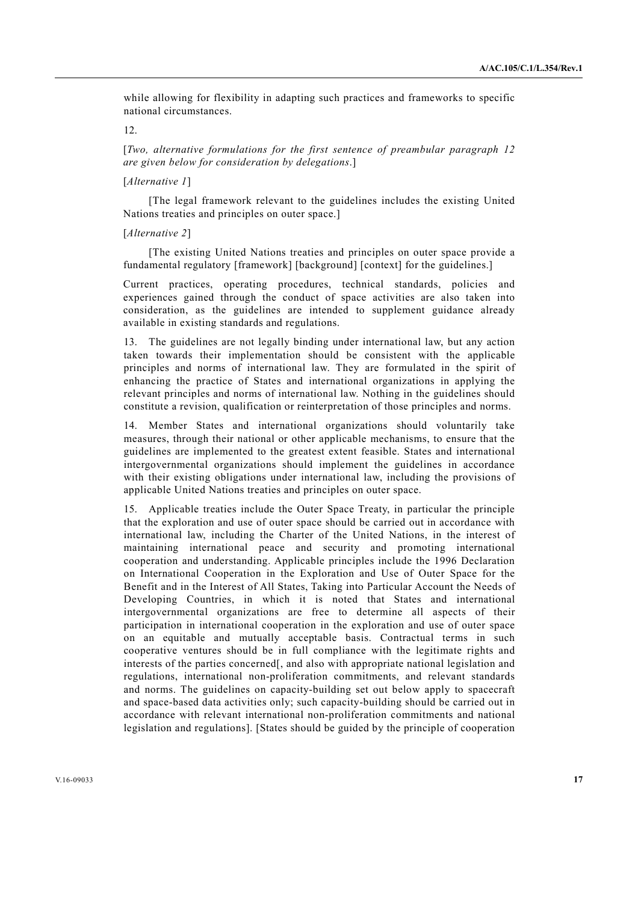while allowing for flexibility in adapting such practices and frameworks to specific national circumstances.

# $12$

[*Two, alternative formulations for the first sentence of preambular paragraph 12 are given below for consideration by delegations*.]

# [*Alternative 1*]

 [The legal framework relevant to the guidelines includes the existing United Nations treaties and principles on outer space.]

#### [*Alternative 2*]

 [The existing United Nations treaties and principles on outer space provide a fundamental regulatory [framework] [background] [context] for the guidelines.]

Current practices, operating procedures, technical standards, policies and experiences gained through the conduct of space activities are also taken into consideration, as the guidelines are intended to supplement guidance already available in existing standards and regulations.

13. The guidelines are not legally binding under international law, but any action taken towards their implementation should be consistent with the applicable principles and norms of international law. They are formulated in the spirit of enhancing the practice of States and international organizations in applying the relevant principles and norms of international law. Nothing in the guidelines should constitute a revision, qualification or reinterpretation of those principles and norms.

14. Member States and international organizations should voluntarily take measures, through their national or other applicable mechanisms, to ensure that the guidelines are implemented to the greatest extent feasible. States and international intergovernmental organizations should implement the guidelines in accordance with their existing obligations under international law, including the provisions of applicable United Nations treaties and principles on outer space.

15. Applicable treaties include the Outer Space Treaty, in particular the principle that the exploration and use of outer space should be carried out in accordance with international law, including the Charter of the United Nations, in the interest of maintaining international peace and security and promoting international cooperation and understanding. Applicable principles include the 1996 Declaration on International Cooperation in the Exploration and Use of Outer Space for the Benefit and in the Interest of All States, Taking into Particular Account the Needs of Developing Countries, in which it is noted that States and international intergovernmental organizations are free to determine all aspects of their participation in international cooperation in the exploration and use of outer space on an equitable and mutually acceptable basis. Contractual terms in such cooperative ventures should be in full compliance with the legitimate rights and interests of the parties concerned[, and also with appropriate national legislation and regulations, international non-proliferation commitments, and relevant standards and norms. The guidelines on capacity-building set out below apply to spacecraft and space-based data activities only; such capacity-building should be carried out in accordance with relevant international non-proliferation commitments and national legislation and regulations]. [States should be guided by the principle of cooperation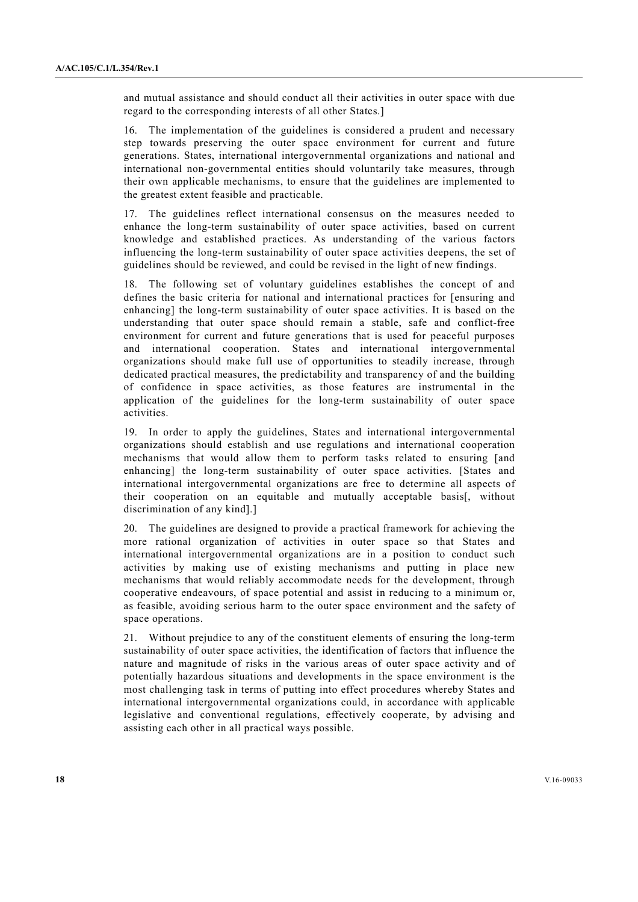and mutual assistance and should conduct all their activities in outer space with due regard to the corresponding interests of all other States.]

16. The implementation of the guidelines is considered a prudent and necessary step towards preserving the outer space environment for current and future generations. States, international intergovernmental organizations and national and international non-governmental entities should voluntarily take measures, through their own applicable mechanisms, to ensure that the guidelines are implemented to the greatest extent feasible and practicable.

17. The guidelines reflect international consensus on the measures needed to enhance the long-term sustainability of outer space activities, based on current knowledge and established practices. As understanding of the various factors influencing the long-term sustainability of outer space activities deepens, the set of guidelines should be reviewed, and could be revised in the light of new findings.

18. The following set of voluntary guidelines establishes the concept of and defines the basic criteria for national and international practices for [ensuring and enhancing] the long-term sustainability of outer space activities. It is based on the understanding that outer space should remain a stable, safe and conflict-free environment for current and future generations that is used for peaceful purposes and international cooperation. States and international intergovernmental organizations should make full use of opportunities to steadily increase, through dedicated practical measures, the predictability and transparency of and the building of confidence in space activities, as those features are instrumental in the application of the guidelines for the long-term sustainability of outer space activities.

19. In order to apply the guidelines, States and international intergovernmental organizations should establish and use regulations and international cooperation mechanisms that would allow them to perform tasks related to ensuring [and enhancing] the long-term sustainability of outer space activities. [States and international intergovernmental organizations are free to determine all aspects of their cooperation on an equitable and mutually acceptable basis[, without discrimination of any kind].]

20. The guidelines are designed to provide a practical framework for achieving the more rational organization of activities in outer space so that States and international intergovernmental organizations are in a position to conduct such activities by making use of existing mechanisms and putting in place new mechanisms that would reliably accommodate needs for the development, through cooperative endeavours, of space potential and assist in reducing to a minimum or, as feasible, avoiding serious harm to the outer space environment and the safety of space operations.

21. Without prejudice to any of the constituent elements of ensuring the long-term sustainability of outer space activities, the identification of factors that influence the nature and magnitude of risks in the various areas of outer space activity and of potentially hazardous situations and developments in the space environment is the most challenging task in terms of putting into effect procedures whereby States and international intergovernmental organizations could, in accordance with applicable legislative and conventional regulations, effectively cooperate, by advising and assisting each other in all practical ways possible.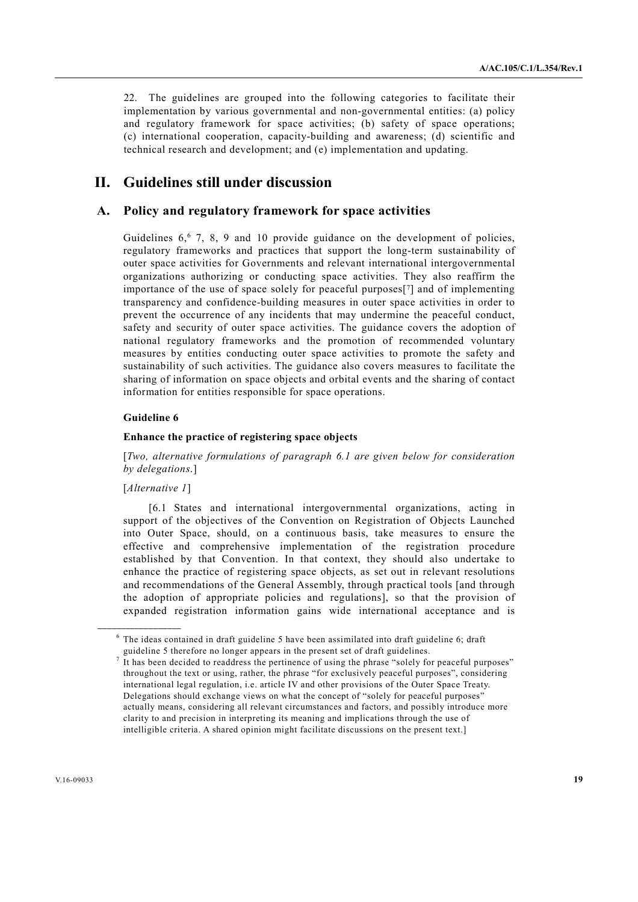22. The guidelines are grouped into the following categories to facilitate their implementation by various governmental and non-governmental entities: (a) policy and regulatory framework for space activities; (b) safety of space operations; (c) international cooperation, capacity-building and awareness; (d) scientific and technical research and development; and (e) implementation and updating.

# **II. Guidelines still under discussion**

# **A. Policy and regulatory framework for space activities**

Guidelines  $6.6$  7, 8, 9 and 10 provide guidance on the development of policies, regulatory frameworks and practices that support the long-term sustainability of outer space activities for Governments and relevant international intergovernmental organizations authorizing or conducting space activities. They also reaffirm the importance of the use of space solely for peaceful purposes<sup>[7]</sup> and of implementing transparency and confidence-building measures in outer space activities in order to prevent the occurrence of any incidents that may undermine the peaceful conduct, safety and security of outer space activities. The guidance covers the adoption of national regulatory frameworks and the promotion of recommended voluntary measures by entities conducting outer space activities to promote the safety and sustainability of such activities. The guidance also covers measures to facilitate the sharing of information on space objects and orbital events and the sharing of contact information for entities responsible for space operations.

# **Guideline 6**

#### **Enhance the practice of registering space objects**

[*Two, alternative formulations of paragraph 6.1 are given below for consideration by delegations*.]

# [*Alternative 1*]

**\_\_\_\_\_\_\_\_\_\_\_\_\_\_\_\_\_\_** 

 [6.1 States and international intergovernmental organizations, acting in support of the objectives of the Convention on Registration of Objects Launched into Outer Space, should, on a continuous basis, take measures to ensure the effective and comprehensive implementation of the registration procedure established by that Convention. In that context, they should also undertake to enhance the practice of registering space objects, as set out in relevant resolutions and recommendations of the General Assembly, through practical tools [and through the adoption of appropriate policies and regulations], so that the provision of expanded registration information gains wide international acceptance and is

 $6$  The ideas contained in draft guideline 5 have been assimilated into draft guideline 6; draft guideline 5 therefore no longer appears in the present set of draft guidelines.

<sup>7</sup> It has been decided to readdress the pertinence of using the phrase "solely for peaceful purposes" throughout the text or using, rather, the phrase "for exclusively peaceful purposes", considering international legal regulation, i.e. article IV and other provisions of the Outer Space Treaty. Delegations should exchange views on what the concept of "solely for peaceful purposes" actually means, considering all relevant circumstances and factors, and possibly introduce more clarity to and precision in interpreting its meaning and implications through the use of intelligible criteria. A shared opinion might facilitate discussions on the present text.]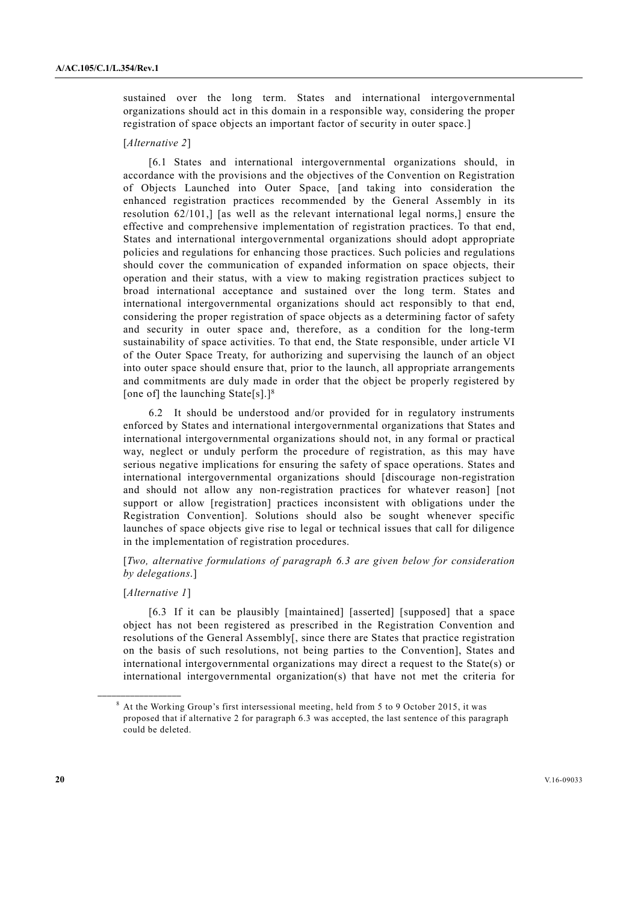sustained over the long term. States and international intergovernmental organizations should act in this domain in a responsible way, considering the proper registration of space objects an important factor of security in outer space.]

#### [*Alternative 2*]

 [6.1 States and international intergovernmental organizations should, in accordance with the provisions and the objectives of the Convention on Registration of Objects Launched into Outer Space, [and taking into consideration the enhanced registration practices recommended by the General Assembly in its resolution 62/101,] [as well as the relevant international legal norms,] ensure the effective and comprehensive implementation of registration practices. To that end, States and international intergovernmental organizations should adopt appropriate policies and regulations for enhancing those practices. Such policies and regulations should cover the communication of expanded information on space objects, their operation and their status, with a view to making registration practices subject to broad international acceptance and sustained over the long term. States and international intergovernmental organizations should act responsibly to that end, considering the proper registration of space objects as a determining factor of safety and security in outer space and, therefore, as a condition for the long-term sustainability of space activities. To that end, the State responsible, under article VI of the Outer Space Treaty, for authorizing and supervising the launch of an object into outer space should ensure that, prior to the launch, all appropriate arrangements and commitments are duly made in order that the object be properly registered by [one of] the launching State[s].<sup>[8]</sup>

 6.2 It should be understood and/or provided for in regulatory instruments enforced by States and international intergovernmental organizations that States and international intergovernmental organizations should not, in any formal or practical way, neglect or unduly perform the procedure of registration, as this may have serious negative implications for ensuring the safety of space operations. States and international intergovernmental organizations should [discourage non-registration and should not allow any non-registration practices for whatever reason] [not support or allow [registration] practices inconsistent with obligations under the Registration Convention]. Solutions should also be sought whenever specific launches of space objects give rise to legal or technical issues that call for diligence in the implementation of registration procedures.

# [*Two, alternative formulations of paragraph 6.3 are given below for consideration by delegations*.]

# [*Alternative 1*]

**\_\_\_\_\_\_\_\_\_\_\_\_\_\_\_\_\_\_** 

 [6.3 If it can be plausibly [maintained] [asserted] [supposed] that a space object has not been registered as prescribed in the Registration Convention and resolutions of the General Assembly[, since there are States that practice registration on the basis of such resolutions, not being parties to the Convention], States and international intergovernmental organizations may direct a request to the State(s) or international intergovernmental organization(s) that have not met the criteria for

<sup>&</sup>lt;sup>8</sup> At the Working Group's first intersessional meeting, held from 5 to 9 October 2015, it was proposed that if alternative 2 for paragraph 6.3 was accepted, the last sentence of this paragraph could be deleted.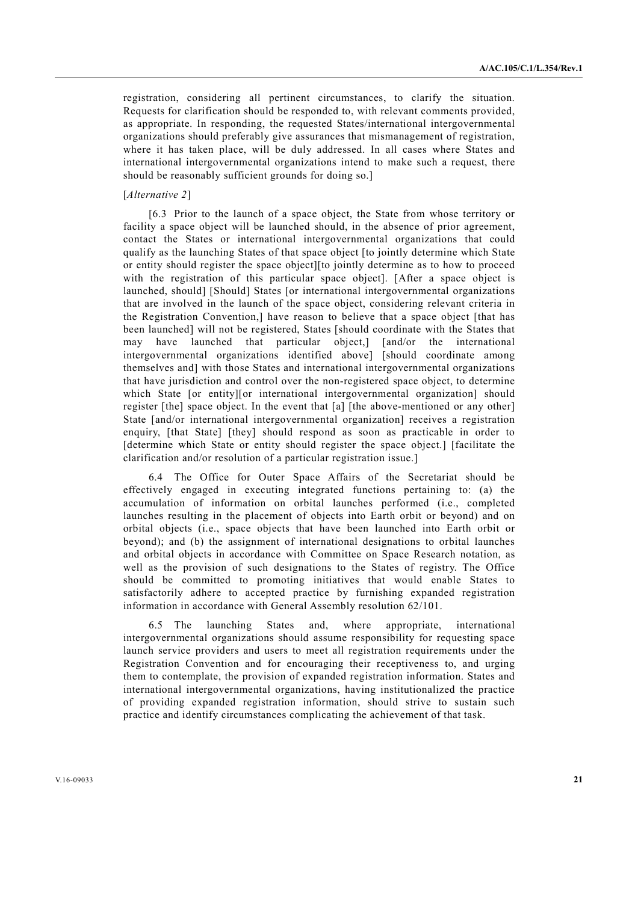registration, considering all pertinent circumstances, to clarify the situation. Requests for clarification should be responded to, with relevant comments provided, as appropriate. In responding, the requested States/international intergovernmental organizations should preferably give assurances that mismanagement of registration, where it has taken place, will be duly addressed. In all cases where States and international intergovernmental organizations intend to make such a request, there should be reasonably sufficient grounds for doing so.]

#### [*Alternative 2*]

 [6.3 Prior to the launch of a space object, the State from whose territory or facility a space object will be launched should, in the absence of prior agreement, contact the States or international intergovernmental organizations that could qualify as the launching States of that space object [to jointly determine which State or entity should register the space object][to jointly determine as to how to proceed with the registration of this particular space object]. [After a space object is launched, should] [Should] States [or international intergovernmental organizations that are involved in the launch of the space object, considering relevant criteria in the Registration Convention,] have reason to believe that a space object [that has been launched] will not be registered, States [should coordinate with the States that may have launched that particular object,] [and/or the international intergovernmental organizations identified above] [should coordinate among themselves and] with those States and international intergovernmental organizations that have jurisdiction and control over the non-registered space object, to determine which State [or entity][or international intergovernmental organization] should register [the] space object. In the event that [a] [the above-mentioned or any other] State [and/or international intergovernmental organization] receives a registration enquiry, [that State] [they] should respond as soon as practicable in order to [determine which State or entity should register the space object.] [facilitate the clarification and/or resolution of a particular registration issue.]

 6.4 The Office for Outer Space Affairs of the Secretariat should be effectively engaged in executing integrated functions pertaining to: (a) the accumulation of information on orbital launches performed (i.e., completed launches resulting in the placement of objects into Earth orbit or beyond) and on orbital objects (i.e., space objects that have been launched into Earth orbit or beyond); and (b) the assignment of international designations to orbital launches and orbital objects in accordance with Committee on Space Research notation, as well as the provision of such designations to the States of registry. The Office should be committed to promoting initiatives that would enable States to satisfactorily adhere to accepted practice by furnishing expanded registration information in accordance with General Assembly resolution 62/101.

 6.5 The launching States and, where appropriate, international intergovernmental organizations should assume responsibility for requesting space launch service providers and users to meet all registration requirements under the Registration Convention and for encouraging their receptiveness to, and urging them to contemplate, the provision of expanded registration information. States and international intergovernmental organizations, having institutionalized the practice of providing expanded registration information, should strive to sustain such practice and identify circumstances complicating the achievement of that task.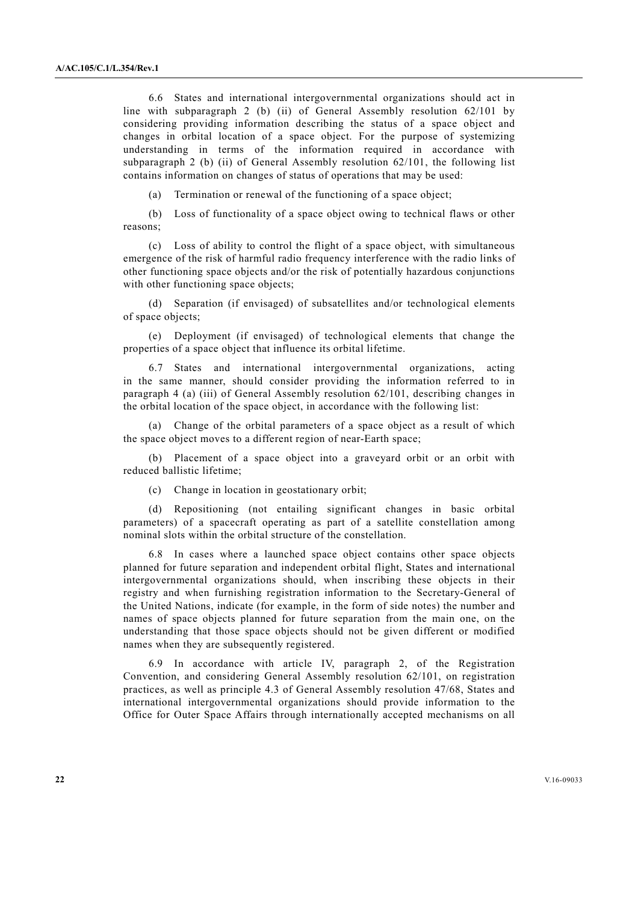6.6 States and international intergovernmental organizations should act in line with subparagraph 2 (b) (ii) of General Assembly resolution 62/101 by considering providing information describing the status of a space object and changes in orbital location of a space object. For the purpose of systemizing understanding in terms of the information required in accordance with subparagraph 2 (b) (ii) of General Assembly resolution 62/101, the following list contains information on changes of status of operations that may be used:

(a) Termination or renewal of the functioning of a space object;

 (b) Loss of functionality of a space object owing to technical flaws or other reasons;

 (c) Loss of ability to control the flight of a space object, with simultaneous emergence of the risk of harmful radio frequency interference with the radio links of other functioning space objects and/or the risk of potentially hazardous conjunctions with other functioning space objects;

 (d) Separation (if envisaged) of subsatellites and/or technological elements of space objects;

 (e) Deployment (if envisaged) of technological elements that change the properties of a space object that influence its orbital lifetime.

 6.7 States and international intergovernmental organizations, acting in the same manner, should consider providing the information referred to in paragraph 4 (a) (iii) of General Assembly resolution 62/101, describing changes in the orbital location of the space object, in accordance with the following list:

 (a) Change of the orbital parameters of a space object as a result of which the space object moves to a different region of near-Earth space;

 (b) Placement of a space object into a graveyard orbit or an orbit with reduced ballistic lifetime;

(c) Change in location in geostationary orbit;

 (d) Repositioning (not entailing significant changes in basic orbital parameters) of a spacecraft operating as part of a satellite constellation among nominal slots within the orbital structure of the constellation.

 6.8 In cases where a launched space object contains other space objects planned for future separation and independent orbital flight, States and international intergovernmental organizations should, when inscribing these objects in their registry and when furnishing registration information to the Secretary-General of the United Nations, indicate (for example, in the form of side notes) the number and names of space objects planned for future separation from the main one, on the understanding that those space objects should not be given different or modified names when they are subsequently registered.

 6.9 In accordance with article IV, paragraph 2, of the Registration Convention, and considering General Assembly resolution 62/101, on registration practices, as well as principle 4.3 of General Assembly resolution 47/68, States and international intergovernmental organizations should provide information to the Office for Outer Space Affairs through internationally accepted mechanisms on all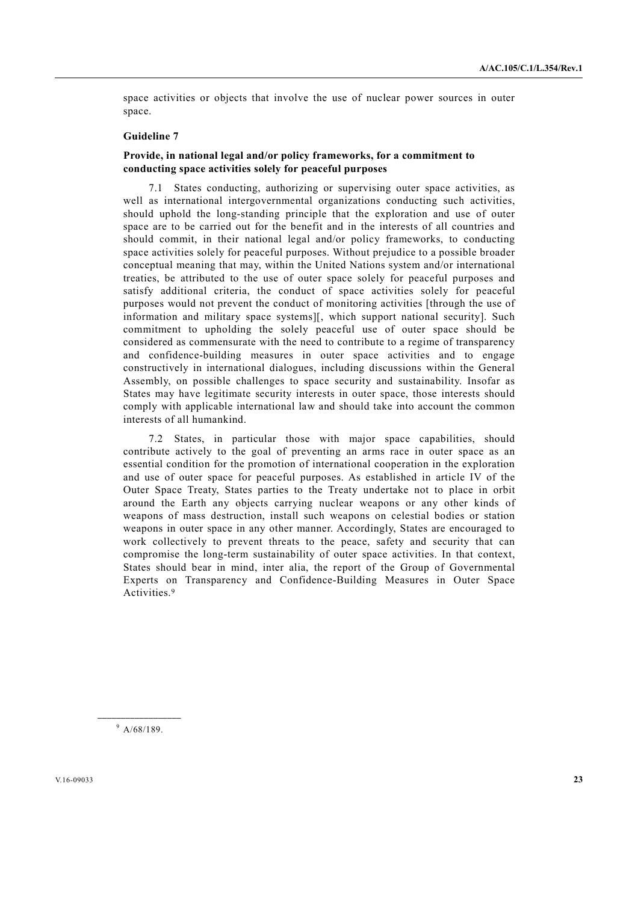space activities or objects that involve the use of nuclear power sources in outer space.

# **Guideline 7**

# **Provide, in national legal and/or policy frameworks, for a commitment to conducting space activities solely for peaceful purposes**

 7.1 States conducting, authorizing or supervising outer space activities, as well as international intergovernmental organizations conducting such activities, should uphold the long-standing principle that the exploration and use of outer space are to be carried out for the benefit and in the interests of all countries and should commit, in their national legal and/or policy frameworks, to conducting space activities solely for peaceful purposes. Without prejudice to a possible broader conceptual meaning that may, within the United Nations system and/or international treaties, be attributed to the use of outer space solely for peaceful purposes and satisfy additional criteria, the conduct of space activities solely for peaceful purposes would not prevent the conduct of monitoring activities [through the use of information and military space systems][, which support national security]. Such commitment to upholding the solely peaceful use of outer space should be considered as commensurate with the need to contribute to a regime of transparency and confidence-building measures in outer space activities and to engage constructively in international dialogues, including discussions within the General Assembly, on possible challenges to space security and sustainability. Insofar as States may have legitimate security interests in outer space, those interests should comply with applicable international law and should take into account the common interests of all humankind.

 7.2 States, in particular those with major space capabilities, should contribute actively to the goal of preventing an arms race in outer space as an essential condition for the promotion of international cooperation in the exploration and use of outer space for peaceful purposes. As established in article IV of the Outer Space Treaty, States parties to the Treaty undertake not to place in orbit around the Earth any objects carrying nuclear weapons or any other kinds of weapons of mass destruction, install such weapons on celestial bodies or station weapons in outer space in any other manner. Accordingly, States are encouraged to work collectively to prevent threats to the peace, safety and security that can compromise the long-term sustainability of outer space activities. In that context, States should bear in mind, inter alia, the report of the Group of Governmental Experts on Transparency and Confidence-Building Measures in Outer Space Activities.9

**\_\_\_\_\_\_\_\_\_\_\_\_\_\_\_\_\_\_**   $9$  A/68/189.

V.16-09033 **23**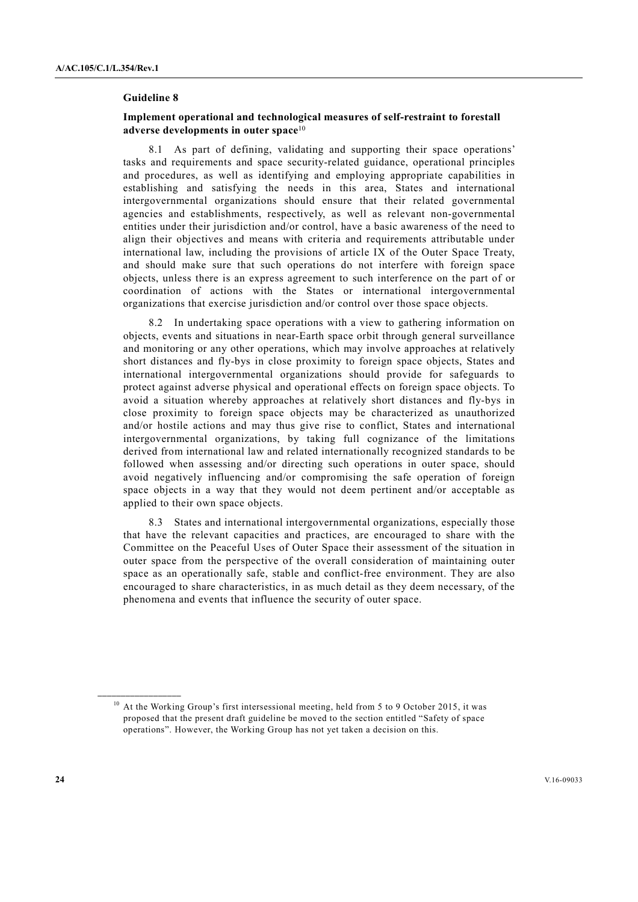#### **Guideline 8**

# **Implement operational and technological measures of self-restraint to forestall adverse developments in outer space**<sup>10</sup>

 8.1 As part of defining, validating and supporting their space operations' tasks and requirements and space security-related guidance, operational principles and procedures, as well as identifying and employing appropriate capabilities in establishing and satisfying the needs in this area, States and international intergovernmental organizations should ensure that their related governmental agencies and establishments, respectively, as well as relevant non-governmental entities under their jurisdiction and/or control, have a basic awareness of the need to align their objectives and means with criteria and requirements attributable under international law, including the provisions of article IX of the Outer Space Treaty, and should make sure that such operations do not interfere with foreign space objects, unless there is an express agreement to such interference on the part of or coordination of actions with the States or international intergovernmental organizations that exercise jurisdiction and/or control over those space objects.

 8.2 In undertaking space operations with a view to gathering information on objects, events and situations in near-Earth space orbit through general surveillance and monitoring or any other operations, which may involve approaches at relatively short distances and fly-bys in close proximity to foreign space objects, States and international intergovernmental organizations should provide for safeguards to protect against adverse physical and operational effects on foreign space objects. To avoid a situation whereby approaches at relatively short distances and fly-bys in close proximity to foreign space objects may be characterized as unauthorized and/or hostile actions and may thus give rise to conflict, States and international intergovernmental organizations, by taking full cognizance of the limitations derived from international law and related internationally recognized standards to be followed when assessing and/or directing such operations in outer space, should avoid negatively influencing and/or compromising the safe operation of foreign space objects in a way that they would not deem pertinent and/or acceptable as applied to their own space objects.

 8.3 States and international intergovernmental organizations, especially those that have the relevant capacities and practices, are encouraged to share with the Committee on the Peaceful Uses of Outer Space their assessment of the situation in outer space from the perspective of the overall consideration of maintaining outer space as an operationally safe, stable and conflict-free environment. They are also encouraged to share characteristics, in as much detail as they deem necessary, of the phenomena and events that influence the security of outer space.

 $10$  At the Working Group's first intersessional meeting, held from 5 to 9 October 2015, it was proposed that the present draft guideline be moved to the section entitled "Safety of space operations". However, the Working Group has not yet taken a decision on this.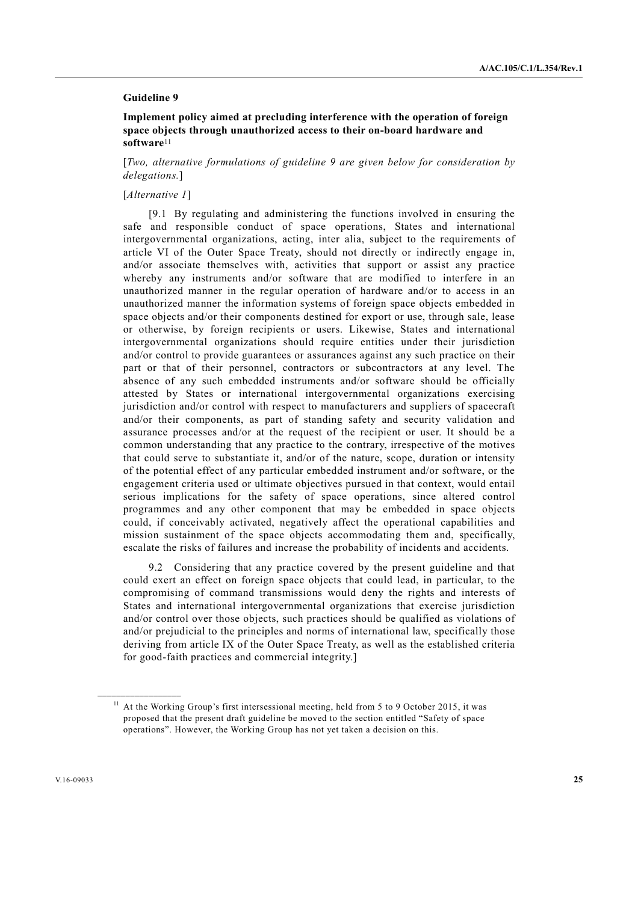## **Guideline 9**

 **Implement policy aimed at precluding interference with the operation of foreign space objects through unauthorized access to their on-board hardware and software**<sup>11</sup>

[*Two, alternative formulations of guideline 9 are given below for consideration by delegations.*]

#### [*Alternative 1*]

 [9.1 By regulating and administering the functions involved in ensuring the safe and responsible conduct of space operations, States and international intergovernmental organizations, acting, inter alia, subject to the requirements of article VI of the Outer Space Treaty, should not directly or indirectly engage in, and/or associate themselves with, activities that support or assist any practice whereby any instruments and/or software that are modified to interfere in an unauthorized manner in the regular operation of hardware and/or to access in an unauthorized manner the information systems of foreign space objects embedded in space objects and/or their components destined for export or use, through sale, lease or otherwise, by foreign recipients or users. Likewise, States and international intergovernmental organizations should require entities under their jurisdiction and/or control to provide guarantees or assurances against any such practice on their part or that of their personnel, contractors or subcontractors at any level. The absence of any such embedded instruments and/or software should be officially attested by States or international intergovernmental organizations exercising jurisdiction and/or control with respect to manufacturers and suppliers of spacecraft and/or their components, as part of standing safety and security validation and assurance processes and/or at the request of the recipient or user. It should be a common understanding that any practice to the contrary, irrespective of the motives that could serve to substantiate it, and/or of the nature, scope, duration or intensity of the potential effect of any particular embedded instrument and/or software, or the engagement criteria used or ultimate objectives pursued in that context, would entail serious implications for the safety of space operations, since altered control programmes and any other component that may be embedded in space objects could, if conceivably activated, negatively affect the operational capabilities and mission sustainment of the space objects accommodating them and, specifically, escalate the risks of failures and increase the probability of incidents and accidents.

 9.2 Considering that any practice covered by the present guideline and that could exert an effect on foreign space objects that could lead, in particular, to the compromising of command transmissions would deny the rights and interests of States and international intergovernmental organizations that exercise jurisdiction and/or control over those objects, such practices should be qualified as violations of and/or prejudicial to the principles and norms of international law, specifically those deriving from article IX of the Outer Space Treaty, as well as the established criteria for good-faith practices and commercial integrity.]

<sup>&</sup>lt;sup>11</sup> At the Working Group's first intersessional meeting, held from 5 to 9 October 2015, it was proposed that the present draft guideline be moved to the section entitled "Safety of space operations". However, the Working Group has not yet taken a decision on this.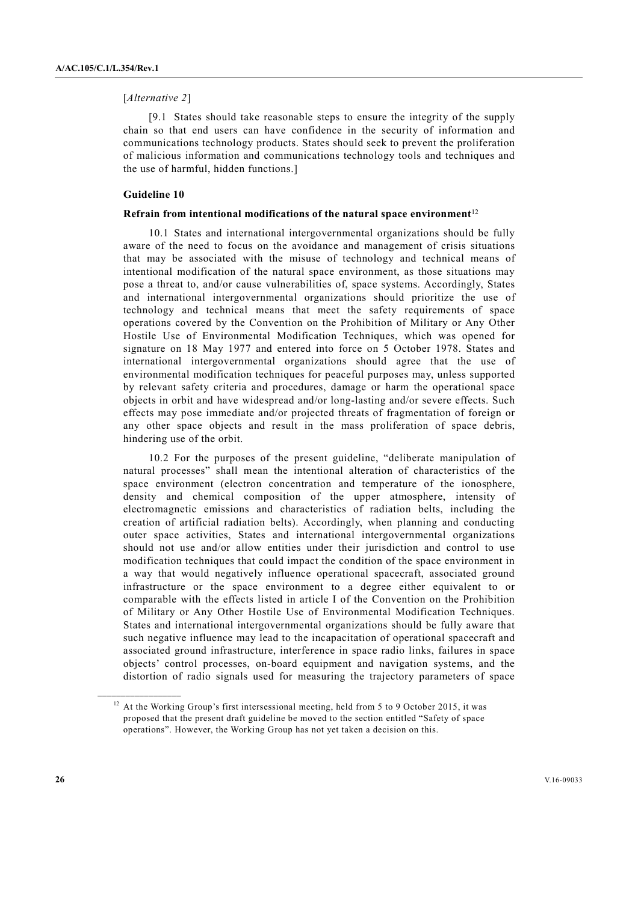#### [*Alternative 2*]

 [9.1 States should take reasonable steps to ensure the integrity of the supply chain so that end users can have confidence in the security of information and communications technology products. States should seek to prevent the proliferation of malicious information and communications technology tools and techniques and the use of harmful, hidden functions.]

#### **Guideline 10**

#### **Refrain from intentional modifications of the natural space environment**<sup>12</sup>

 10.1 States and international intergovernmental organizations should be fully aware of the need to focus on the avoidance and management of crisis situations that may be associated with the misuse of technology and technical means of intentional modification of the natural space environment, as those situations may pose a threat to, and/or cause vulnerabilities of, space systems. Accordingly, States and international intergovernmental organizations should prioritize the use of technology and technical means that meet the safety requirements of space operations covered by the Convention on the Prohibition of Military or Any Other Hostile Use of Environmental Modification Techniques, which was opened for signature on 18 May 1977 and entered into force on 5 October 1978. States and international intergovernmental organizations should agree that the use of environmental modification techniques for peaceful purposes may, unless supported by relevant safety criteria and procedures, damage or harm the operational space objects in orbit and have widespread and/or long-lasting and/or severe effects. Such effects may pose immediate and/or projected threats of fragmentation of foreign or any other space objects and result in the mass proliferation of space debris, hindering use of the orbit.

 10.2 For the purposes of the present guideline, "deliberate manipulation of natural processes" shall mean the intentional alteration of characteristics of the space environment (electron concentration and temperature of the ionosphere, density and chemical composition of the upper atmosphere, intensity of electromagnetic emissions and characteristics of radiation belts, including the creation of artificial radiation belts). Accordingly, when planning and conducting outer space activities, States and international intergovernmental organizations should not use and/or allow entities under their jurisdiction and control to use modification techniques that could impact the condition of the space environment in a way that would negatively influence operational spacecraft, associated ground infrastructure or the space environment to a degree either equivalent to or comparable with the effects listed in article I of the Convention on the Prohibition of Military or Any Other Hostile Use of Environmental Modification Techniques. States and international intergovernmental organizations should be fully aware that such negative influence may lead to the incapacitation of operational spacecraft and associated ground infrastructure, interference in space radio links, failures in space objects' control processes, on-board equipment and navigation systems, and the distortion of radio signals used for measuring the trajectory parameters of space

<sup>&</sup>lt;sup>12</sup> At the Working Group's first intersessional meeting, held from 5 to 9 October 2015, it was proposed that the present draft guideline be moved to the section entitled "Safety of space operations". However, the Working Group has not yet taken a decision on this.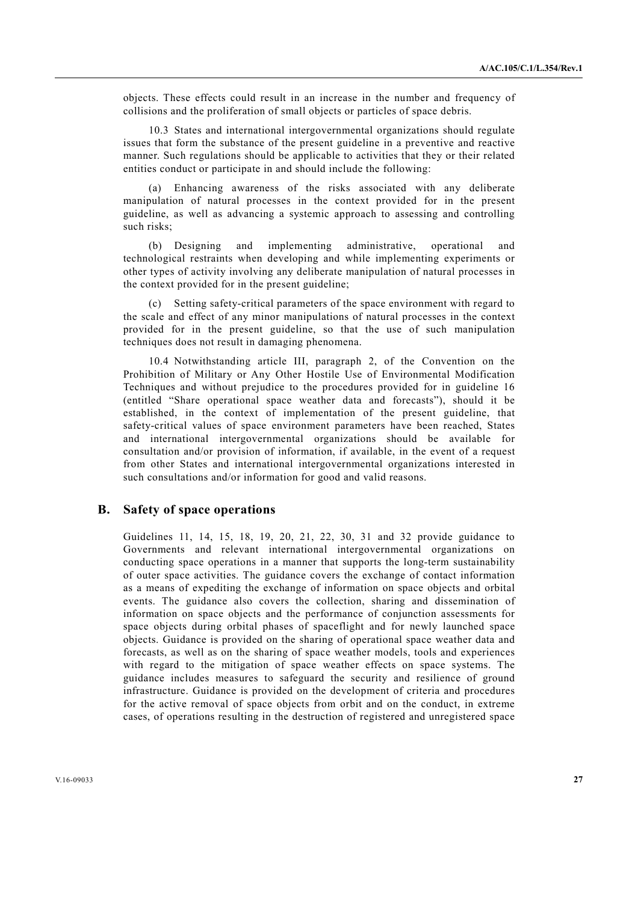objects. These effects could result in an increase in the number and frequency of collisions and the proliferation of small objects or particles of space debris.

 10.3 States and international intergovernmental organizations should regulate issues that form the substance of the present guideline in a preventive and reactive manner. Such regulations should be applicable to activities that they or their related entities conduct or participate in and should include the following:

 (a) Enhancing awareness of the risks associated with any deliberate manipulation of natural processes in the context provided for in the present guideline, as well as advancing a systemic approach to assessing and controlling such risks;

 (b) Designing and implementing administrative, operational and technological restraints when developing and while implementing experiments or other types of activity involving any deliberate manipulation of natural processes in the context provided for in the present guideline;

 (c) Setting safety-critical parameters of the space environment with regard to the scale and effect of any minor manipulations of natural processes in the context provided for in the present guideline, so that the use of such manipulation techniques does not result in damaging phenomena.

 10.4 Notwithstanding article III, paragraph 2, of the Convention on the Prohibition of Military or Any Other Hostile Use of Environmental Modification Techniques and without prejudice to the procedures provided for in guideline 16 (entitled "Share operational space weather data and forecasts"), should it be established, in the context of implementation of the present guideline, that safety-critical values of space environment parameters have been reached, States and international intergovernmental organizations should be available for consultation and/or provision of information, if available, in the event of a request from other States and international intergovernmental organizations interested in such consultations and/or information for good and valid reasons.

# **B. Safety of space operations**

Guidelines 11, 14, 15, 18, 19, 20, 21, 22, 30, 31 and 32 provide guidance to Governments and relevant international intergovernmental organizations on conducting space operations in a manner that supports the long-term sustainability of outer space activities. The guidance covers the exchange of contact information as a means of expediting the exchange of information on space objects and orbital events. The guidance also covers the collection, sharing and dissemination of information on space objects and the performance of conjunction assessments for space objects during orbital phases of spaceflight and for newly launched space objects. Guidance is provided on the sharing of operational space weather data and forecasts, as well as on the sharing of space weather models, tools and experiences with regard to the mitigation of space weather effects on space systems. The guidance includes measures to safeguard the security and resilience of ground infrastructure. Guidance is provided on the development of criteria and procedures for the active removal of space objects from orbit and on the conduct, in extreme cases, of operations resulting in the destruction of registered and unregistered space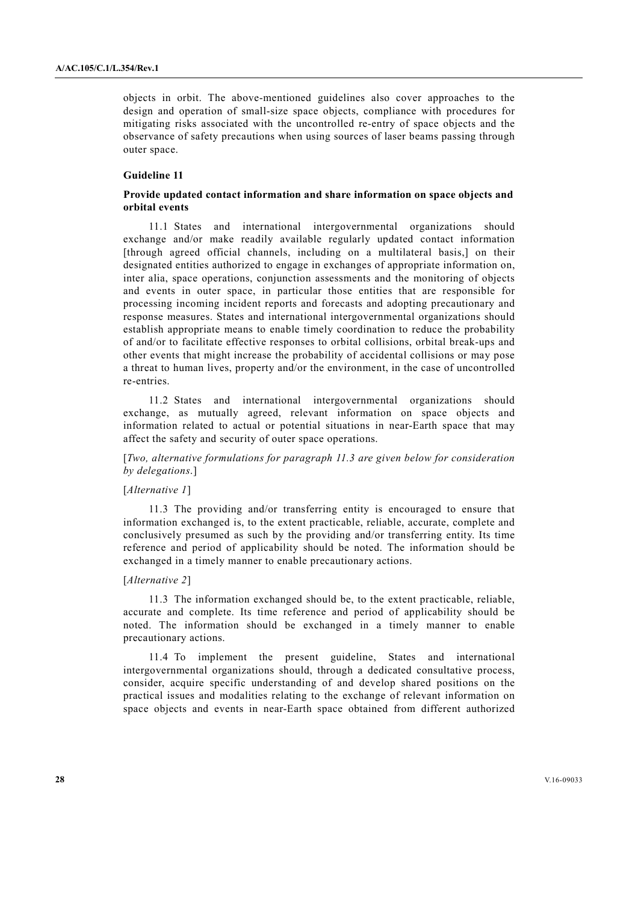objects in orbit. The above-mentioned guidelines also cover approaches to the design and operation of small-size space objects, compliance with procedures for mitigating risks associated with the uncontrolled re-entry of space objects and the observance of safety precautions when using sources of laser beams passing through outer space.

# **Guideline 11**

## **Provide updated contact information and share information on space objects and orbital events**

 11.1 States and international intergovernmental organizations should exchange and/or make readily available regularly updated contact information [through agreed official channels, including on a multilateral basis,] on their designated entities authorized to engage in exchanges of appropriate information on, inter alia, space operations, conjunction assessments and the monitoring of objects and events in outer space, in particular those entities that are responsible for processing incoming incident reports and forecasts and adopting precautionary and response measures. States and international intergovernmental organizations should establish appropriate means to enable timely coordination to reduce the probability of and/or to facilitate effective responses to orbital collisions, orbital break-ups and other events that might increase the probability of accidental collisions or may pose a threat to human lives, property and/or the environment, in the case of uncontrolled re-entries.

 11.2 States and international intergovernmental organizations should exchange, as mutually agreed, relevant information on space objects and information related to actual or potential situations in near-Earth space that may affect the safety and security of outer space operations.

[*Two, alternative formulations for paragraph 11.3 are given below for consideration by delegations*.]

#### [*Alternative 1*]

 11.3 The providing and/or transferring entity is encouraged to ensure that information exchanged is, to the extent practicable, reliable, accurate, complete and conclusively presumed as such by the providing and/or transferring entity. Its time reference and period of applicability should be noted. The information should be exchanged in a timely manner to enable precautionary actions.

## [*Alternative 2*]

 11.3 The information exchanged should be, to the extent practicable, reliable, accurate and complete. Its time reference and period of applicability should be noted. The information should be exchanged in a timely manner to enable precautionary actions.

 11.4 To implement the present guideline, States and international intergovernmental organizations should, through a dedicated consultative process, consider, acquire specific understanding of and develop shared positions on the practical issues and modalities relating to the exchange of relevant information on space objects and events in near-Earth space obtained from different authorized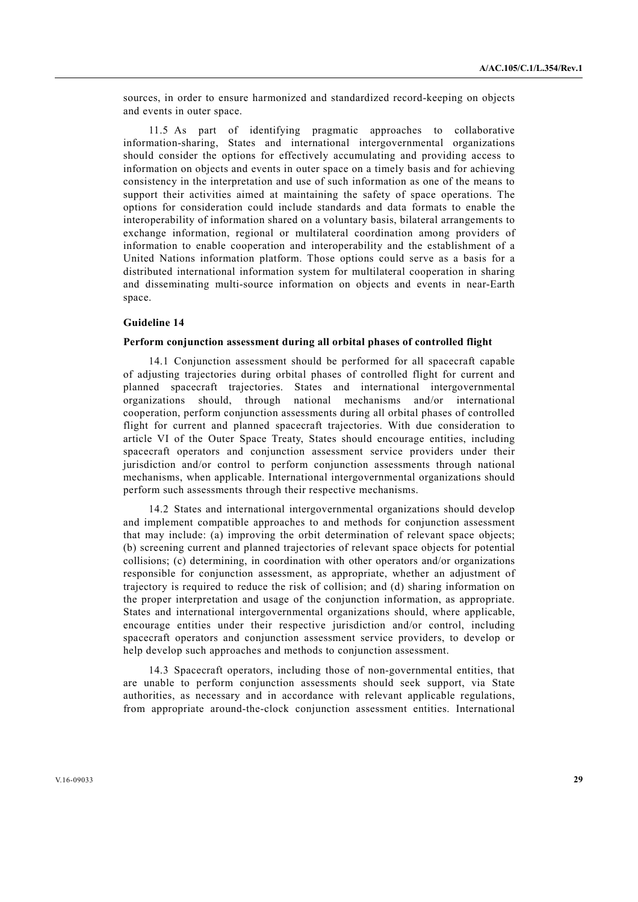sources, in order to ensure harmonized and standardized record-keeping on objects and events in outer space.

 11.5 As part of identifying pragmatic approaches to collaborative information-sharing, States and international intergovernmental organizations should consider the options for effectively accumulating and providing access to information on objects and events in outer space on a timely basis and for achieving consistency in the interpretation and use of such information as one of the means to support their activities aimed at maintaining the safety of space operations. The options for consideration could include standards and data formats to enable the interoperability of information shared on a voluntary basis, bilateral arrangements to exchange information, regional or multilateral coordination among providers of information to enable cooperation and interoperability and the establishment of a United Nations information platform. Those options could serve as a basis for a distributed international information system for multilateral cooperation in sharing and disseminating multi-source information on objects and events in near-Earth space.

# **Guideline 14**

#### **Perform conjunction assessment during all orbital phases of controlled flight**

 14.1 Conjunction assessment should be performed for all spacecraft capable of adjusting trajectories during orbital phases of controlled flight for current and planned spacecraft trajectories. States and international intergovernmental organizations should, through national mechanisms and/or international cooperation, perform conjunction assessments during all orbital phases of controlled flight for current and planned spacecraft trajectories. With due consideration to article VI of the Outer Space Treaty, States should encourage entities, including spacecraft operators and conjunction assessment service providers under their jurisdiction and/or control to perform conjunction assessments through national mechanisms, when applicable. International intergovernmental organizations should perform such assessments through their respective mechanisms.

 14.2 States and international intergovernmental organizations should develop and implement compatible approaches to and methods for conjunction assessment that may include: (a) improving the orbit determination of relevant space objects; (b) screening current and planned trajectories of relevant space objects for potential collisions; (c) determining, in coordination with other operators and/or organizations responsible for conjunction assessment, as appropriate, whether an adjustment of trajectory is required to reduce the risk of collision; and (d) sharing information on the proper interpretation and usage of the conjunction information, as appropriate. States and international intergovernmental organizations should, where applicable, encourage entities under their respective jurisdiction and/or control, including spacecraft operators and conjunction assessment service providers, to develop or help develop such approaches and methods to conjunction assessment.

 14.3 Spacecraft operators, including those of non-governmental entities, that are unable to perform conjunction assessments should seek support, via State authorities, as necessary and in accordance with relevant applicable regulations, from appropriate around-the-clock conjunction assessment entities. International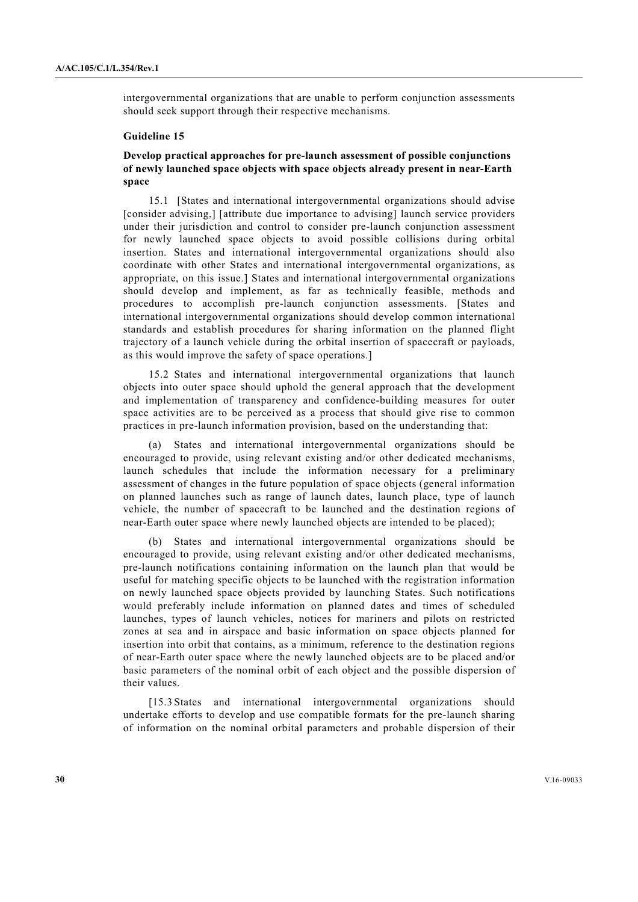intergovernmental organizations that are unable to perform conjunction assessments should seek support through their respective mechanisms.

## **Guideline 15**

# **Develop practical approaches for pre-launch assessment of possible conjunctions of newly launched space objects with space objects already present in near-Earth space**

 15.1 [States and international intergovernmental organizations should advise [consider advising,] [attribute due importance to advising] launch service providers under their jurisdiction and control to consider pre-launch conjunction assessment for newly launched space objects to avoid possible collisions during orbital insertion. States and international intergovernmental organizations should also coordinate with other States and international intergovernmental organizations, as appropriate, on this issue.] States and international intergovernmental organizations should develop and implement, as far as technically feasible, methods and procedures to accomplish pre-launch conjunction assessments. [States and international intergovernmental organizations should develop common international standards and establish procedures for sharing information on the planned flight trajectory of a launch vehicle during the orbital insertion of spacecraft or payloads, as this would improve the safety of space operations.]

 15.2 States and international intergovernmental organizations that launch objects into outer space should uphold the general approach that the development and implementation of transparency and confidence-building measures for outer space activities are to be perceived as a process that should give rise to common practices in pre-launch information provision, based on the understanding that:

 (a) States and international intergovernmental organizations should be encouraged to provide, using relevant existing and/or other dedicated mechanisms, launch schedules that include the information necessary for a preliminary assessment of changes in the future population of space objects (general information on planned launches such as range of launch dates, launch place, type of launch vehicle, the number of spacecraft to be launched and the destination regions of near-Earth outer space where newly launched objects are intended to be placed);

States and international intergovernmental organizations should be encouraged to provide, using relevant existing and/or other dedicated mechanisms, pre-launch notifications containing information on the launch plan that would be useful for matching specific objects to be launched with the registration information on newly launched space objects provided by launching States. Such notifications would preferably include information on planned dates and times of scheduled launches, types of launch vehicles, notices for mariners and pilots on restricted zones at sea and in airspace and basic information on space objects planned for insertion into orbit that contains, as a minimum, reference to the destination regions of near-Earth outer space where the newly launched objects are to be placed and/or basic parameters of the nominal orbit of each object and the possible dispersion of their values.

[15.3 States and international intergovernmental organizations should undertake efforts to develop and use compatible formats for the pre-launch sharing of information on the nominal orbital parameters and probable dispersion of their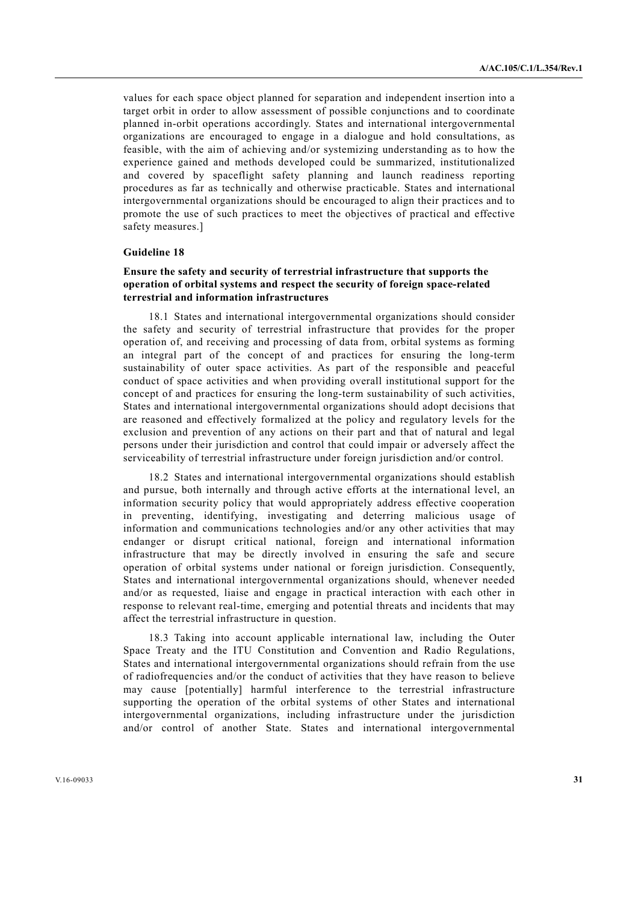values for each space object planned for separation and independent insertion into a target orbit in order to allow assessment of possible conjunctions and to coordinate planned in-orbit operations accordingly. States and international intergovernmental organizations are encouraged to engage in a dialogue and hold consultations, as feasible, with the aim of achieving and/or systemizing understanding as to how the experience gained and methods developed could be summarized, institutionalized and covered by spaceflight safety planning and launch readiness reporting procedures as far as technically and otherwise practicable. States and international intergovernmental organizations should be encouraged to align their practices and to promote the use of such practices to meet the objectives of practical and effective safety measures.]

#### **Guideline 18**

# **Ensure the safety and security of terrestrial infrastructure that supports the operation of orbital systems and respect the security of foreign space-related terrestrial and information infrastructures**

 18.1 States and international intergovernmental organizations should consider the safety and security of terrestrial infrastructure that provides for the proper operation of, and receiving and processing of data from, orbital systems as forming an integral part of the concept of and practices for ensuring the long-term sustainability of outer space activities. As part of the responsible and peaceful conduct of space activities and when providing overall institutional support for the concept of and practices for ensuring the long-term sustainability of such activities, States and international intergovernmental organizations should adopt decisions that are reasoned and effectively formalized at the policy and regulatory levels for the exclusion and prevention of any actions on their part and that of natural and legal persons under their jurisdiction and control that could impair or adversely affect the serviceability of terrestrial infrastructure under foreign jurisdiction and/or control.

 18.2 States and international intergovernmental organizations should establish and pursue, both internally and through active efforts at the international level, an information security policy that would appropriately address effective cooperation in preventing, identifying, investigating and deterring malicious usage of information and communications technologies and/or any other activities that may endanger or disrupt critical national, foreign and international information infrastructure that may be directly involved in ensuring the safe and secure operation of orbital systems under national or foreign jurisdiction. Consequently, States and international intergovernmental organizations should, whenever needed and/or as requested, liaise and engage in practical interaction with each other in response to relevant real-time, emerging and potential threats and incidents that may affect the terrestrial infrastructure in question.

 18.3 Taking into account applicable international law, including the Outer Space Treaty and the ITU Constitution and Convention and Radio Regulations, States and international intergovernmental organizations should refrain from the use of radiofrequencies and/or the conduct of activities that they have reason to believe may cause [potentially] harmful interference to the terrestrial infrastructure supporting the operation of the orbital systems of other States and international intergovernmental organizations, including infrastructure under the jurisdiction and/or control of another State. States and international intergovernmental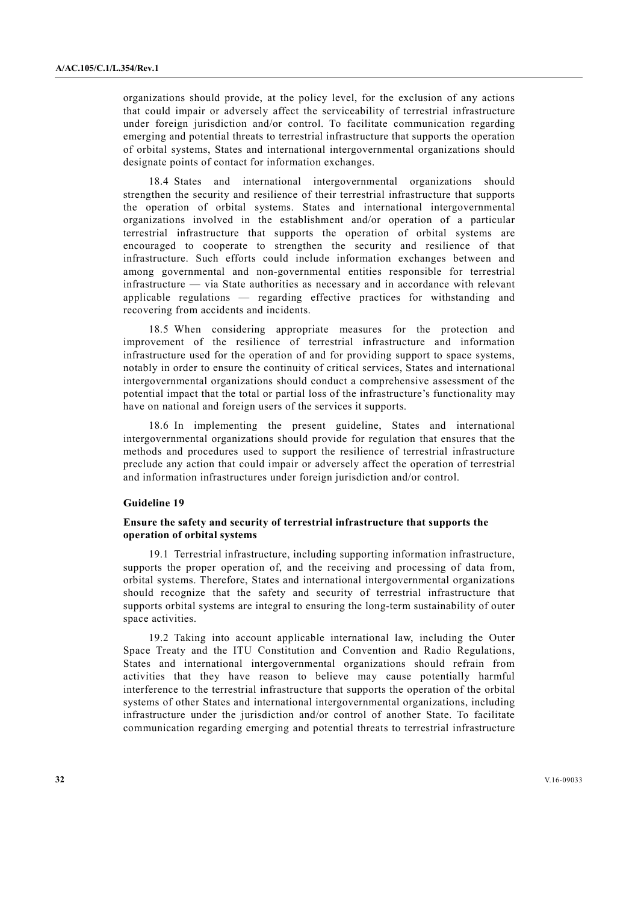organizations should provide, at the policy level, for the exclusion of any actions that could impair or adversely affect the serviceability of terrestrial infrastructure under foreign jurisdiction and/or control. To facilitate communication regarding emerging and potential threats to terrestrial infrastructure that supports the operation of orbital systems, States and international intergovernmental organizations should designate points of contact for information exchanges.

 18.4 States and international intergovernmental organizations should strengthen the security and resilience of their terrestrial infrastructure that supports the operation of orbital systems. States and international intergovernmental organizations involved in the establishment and/or operation of a particular terrestrial infrastructure that supports the operation of orbital systems are encouraged to cooperate to strengthen the security and resilience of that infrastructure. Such efforts could include information exchanges between and among governmental and non-governmental entities responsible for terrestrial infrastructure — via State authorities as necessary and in accordance with relevant applicable regulations — regarding effective practices for withstanding and recovering from accidents and incidents.

 18.5 When considering appropriate measures for the protection and improvement of the resilience of terrestrial infrastructure and information infrastructure used for the operation of and for providing support to space systems, notably in order to ensure the continuity of critical services, States and international intergovernmental organizations should conduct a comprehensive assessment of the potential impact that the total or partial loss of the infrastructure's functionality may have on national and foreign users of the services it supports.

 18.6 In implementing the present guideline, States and international intergovernmental organizations should provide for regulation that ensures that the methods and procedures used to support the resilience of terrestrial infrastructure preclude any action that could impair or adversely affect the operation of terrestrial and information infrastructures under foreign jurisdiction and/or control.

# **Guideline 19**

## **Ensure the safety and security of terrestrial infrastructure that supports the operation of orbital systems**

 19.1 Terrestrial infrastructure, including supporting information infrastructure, supports the proper operation of, and the receiving and processing of data from, orbital systems. Therefore, States and international intergovernmental organizations should recognize that the safety and security of terrestrial infrastructure that supports orbital systems are integral to ensuring the long-term sustainability of outer space activities.

 19.2 Taking into account applicable international law, including the Outer Space Treaty and the ITU Constitution and Convention and Radio Regulations, States and international intergovernmental organizations should refrain from activities that they have reason to believe may cause potentially harmful interference to the terrestrial infrastructure that supports the operation of the orbital systems of other States and international intergovernmental organizations, including infrastructure under the jurisdiction and/or control of another State. To facilitate communication regarding emerging and potential threats to terrestrial infrastructure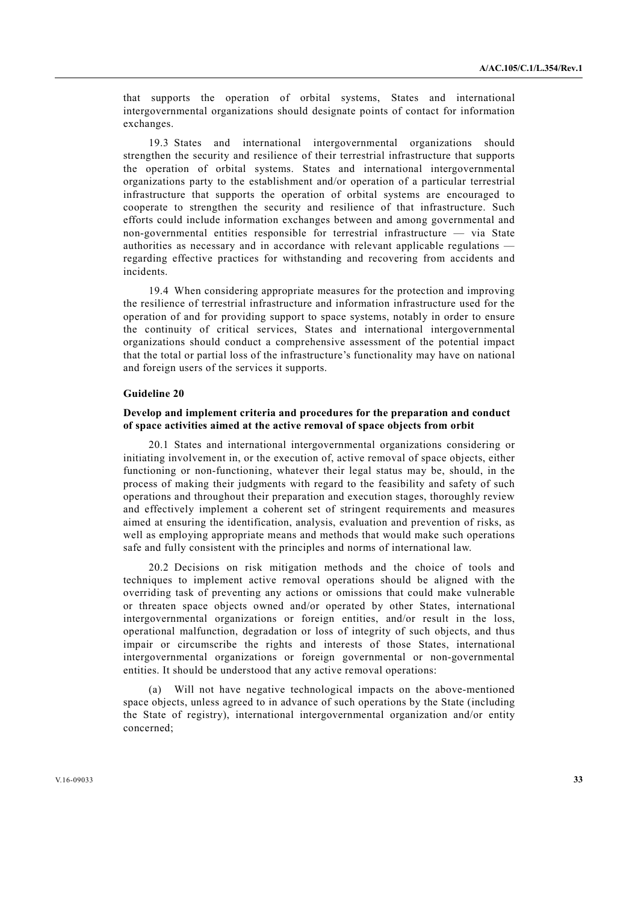that supports the operation of orbital systems, States and international intergovernmental organizations should designate points of contact for information exchanges.

 19.3 States and international intergovernmental organizations should strengthen the security and resilience of their terrestrial infrastructure that supports the operation of orbital systems. States and international intergovernmental organizations party to the establishment and/or operation of a particular terrestrial infrastructure that supports the operation of orbital systems are encouraged to cooperate to strengthen the security and resilience of that infrastructure. Such efforts could include information exchanges between and among governmental and non-governmental entities responsible for terrestrial infrastructure — via State authorities as necessary and in accordance with relevant applicable regulations regarding effective practices for withstanding and recovering from accidents and incidents.

 19.4 When considering appropriate measures for the protection and improving the resilience of terrestrial infrastructure and information infrastructure used for the operation of and for providing support to space systems, notably in order to ensure the continuity of critical services, States and international intergovernmental organizations should conduct a comprehensive assessment of the potential impact that the total or partial loss of the infrastructure's functionality may have on national and foreign users of the services it supports.

#### **Guideline 20**

#### **Develop and implement criteria and procedures for the preparation and conduct of space activities aimed at the active removal of space objects from orbit**

 20.1 States and international intergovernmental organizations considering or initiating involvement in, or the execution of, active removal of space objects, either functioning or non-functioning, whatever their legal status may be, should, in the process of making their judgments with regard to the feasibility and safety of such operations and throughout their preparation and execution stages, thoroughly review and effectively implement a coherent set of stringent requirements and measures aimed at ensuring the identification, analysis, evaluation and prevention of risks, as well as employing appropriate means and methods that would make such operations safe and fully consistent with the principles and norms of international law.

 20.2 Decisions on risk mitigation methods and the choice of tools and techniques to implement active removal operations should be aligned with the overriding task of preventing any actions or omissions that could make vulnerable or threaten space objects owned and/or operated by other States, international intergovernmental organizations or foreign entities, and/or result in the loss, operational malfunction, degradation or loss of integrity of such objects, and thus impair or circumscribe the rights and interests of those States, international intergovernmental organizations or foreign governmental or non-governmental entities. It should be understood that any active removal operations:

 (a) Will not have negative technological impacts on the above-mentioned space objects, unless agreed to in advance of such operations by the State (including the State of registry), international intergovernmental organization and/or entity concerned;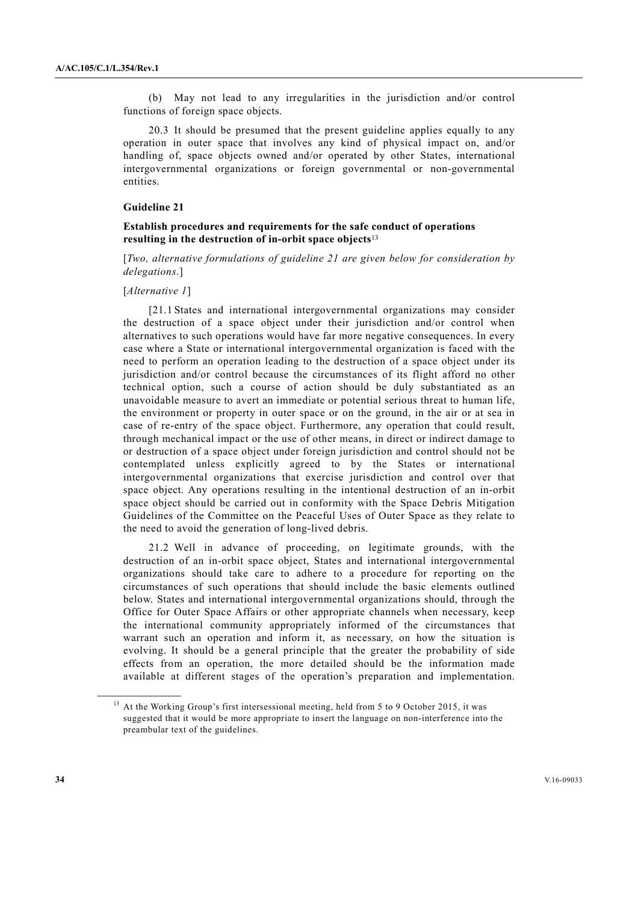(b) May not lead to any irregularities in the jurisdiction and/or control functions of foreign space objects.

 20.3 It should be presumed that the present guideline applies equally to any operation in outer space that involves any kind of physical impact on, and/or handling of, space objects owned and/or operated by other States, international intergovernmental organizations or foreign governmental or non-governmental entities.

# **Guideline 21**

# **Establish procedures and requirements for the safe conduct of operations resulting in the destruction of in-orbit space objects**<sup>13</sup>

[*Two, alternative formulations of guideline 21 are given below for consideration by delegations*.]

#### [*Alternative 1*]

**\_\_\_\_\_\_\_\_\_\_\_\_\_\_\_\_\_\_** 

 [21.1 States and international intergovernmental organizations may consider the destruction of a space object under their jurisdiction and/or control when alternatives to such operations would have far more negative consequences. In every case where a State or international intergovernmental organization is faced with the need to perform an operation leading to the destruction of a space object under its jurisdiction and/or control because the circumstances of its flight afford no other technical option, such a course of action should be duly substantiated as an unavoidable measure to avert an immediate or potential serious threat to human life, the environment or property in outer space or on the ground, in the air or at sea in case of re-entry of the space object. Furthermore, any operation that could result, through mechanical impact or the use of other means, in direct or indirect damage to or destruction of a space object under foreign jurisdiction and control should not be contemplated unless explicitly agreed to by the States or international intergovernmental organizations that exercise jurisdiction and control over that space object. Any operations resulting in the intentional destruction of an in-orbit space object should be carried out in conformity with the Space Debris Mitigation Guidelines of the Committee on the Peaceful Uses of Outer Space as they relate to the need to avoid the generation of long-lived debris.

 21.2 Well in advance of proceeding, on legitimate grounds, with the destruction of an in-orbit space object, States and international intergovernmental organizations should take care to adhere to a procedure for reporting on the circumstances of such operations that should include the basic elements outlined below. States and international intergovernmental organizations should, through the Office for Outer Space Affairs or other appropriate channels when necessary, keep the international community appropriately informed of the circumstances that warrant such an operation and inform it, as necessary, on how the situation is evolving. It should be a general principle that the greater the probability of side effects from an operation, the more detailed should be the information made available at different stages of the operation's preparation and implementation.

<sup>&</sup>lt;sup>13</sup> At the Working Group's first intersessional meeting, held from 5 to 9 October 2015, it was suggested that it would be more appropriate to insert the language on non-interference into the preambular text of the guidelines.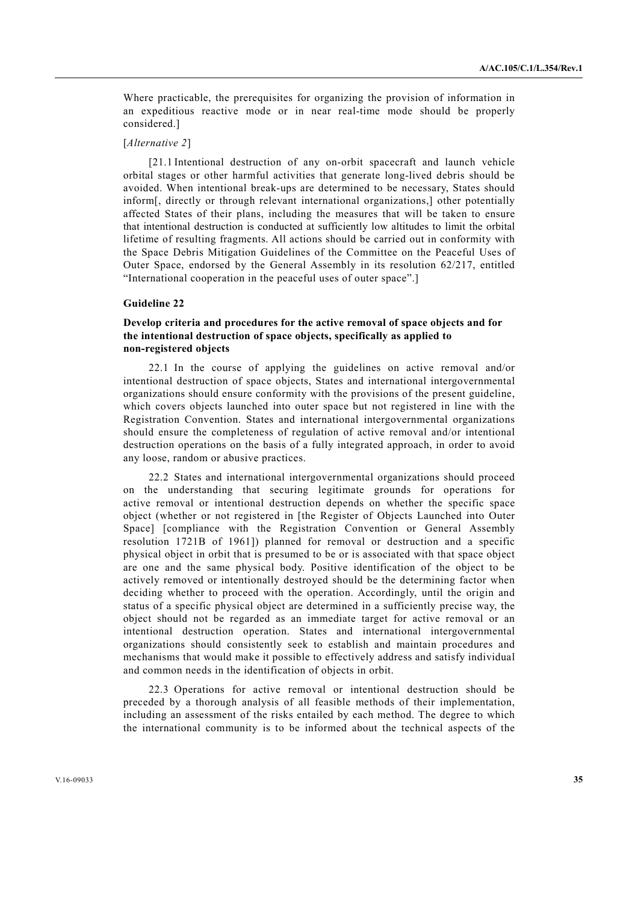Where practicable, the prerequisites for organizing the provision of information in an expeditious reactive mode or in near real-time mode should be properly considered.]

#### [*Alternative 2*]

 [21.1 Intentional destruction of any on-orbit spacecraft and launch vehicle orbital stages or other harmful activities that generate long-lived debris should be avoided. When intentional break-ups are determined to be necessary, States should inform[, directly or through relevant international organizations,] other potentially affected States of their plans, including the measures that will be taken to ensure that intentional destruction is conducted at sufficiently low altitudes to limit the orbital lifetime of resulting fragments. All actions should be carried out in conformity with the Space Debris Mitigation Guidelines of the Committee on the Peaceful Uses of Outer Space, endorsed by the General Assembly in its resolution 62/217, entitled "International cooperation in the peaceful uses of outer space".]

#### **Guideline 22**

# **Develop criteria and procedures for the active removal of space objects and for the intentional destruction of space objects, specifically as applied to non-registered objects**

 22.1 In the course of applying the guidelines on active removal and/or intentional destruction of space objects, States and international intergovernmental organizations should ensure conformity with the provisions of the present guideline, which covers objects launched into outer space but not registered in line with the Registration Convention. States and international intergovernmental organizations should ensure the completeness of regulation of active removal and/or intentional destruction operations on the basis of a fully integrated approach, in order to avoid any loose, random or abusive practices.

 22.2 States and international intergovernmental organizations should proceed on the understanding that securing legitimate grounds for operations for active removal or intentional destruction depends on whether the specific space object (whether or not registered in [the Register of Objects Launched into Outer Space] [compliance with the Registration Convention or General Assembly resolution 1721B of 1961]) planned for removal or destruction and a specific physical object in orbit that is presumed to be or is associated with that space object are one and the same physical body. Positive identification of the object to be actively removed or intentionally destroyed should be the determining factor when deciding whether to proceed with the operation. Accordingly, until the origin and status of a specific physical object are determined in a sufficiently precise way, the object should not be regarded as an immediate target for active removal or an intentional destruction operation. States and international intergovernmental organizations should consistently seek to establish and maintain procedures and mechanisms that would make it possible to effectively address and satisfy individual and common needs in the identification of objects in orbit.

 22.3 Operations for active removal or intentional destruction should be preceded by a thorough analysis of all feasible methods of their implementation, including an assessment of the risks entailed by each method. The degree to which the international community is to be informed about the technical aspects of the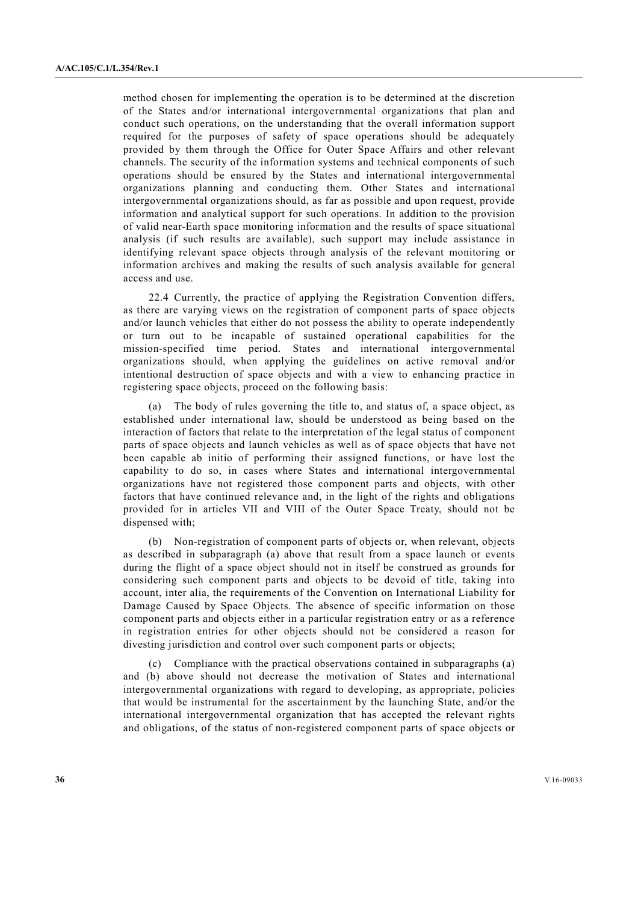method chosen for implementing the operation is to be determined at the discretion of the States and/or international intergovernmental organizations that plan and conduct such operations, on the understanding that the overall information support required for the purposes of safety of space operations should be adequately provided by them through the Office for Outer Space Affairs and other relevant channels. The security of the information systems and technical components of such operations should be ensured by the States and international intergovernmental organizations planning and conducting them. Other States and international intergovernmental organizations should, as far as possible and upon request, provide information and analytical support for such operations. In addition to the provision of valid near-Earth space monitoring information and the results of space situational analysis (if such results are available), such support may include assistance in identifying relevant space objects through analysis of the relevant monitoring or information archives and making the results of such analysis available for general access and use.

 22.4 Currently, the practice of applying the Registration Convention differs, as there are varying views on the registration of component parts of space objects and/or launch vehicles that either do not possess the ability to operate independently or turn out to be incapable of sustained operational capabilities for the mission-specified time period. States and international intergovernmental organizations should, when applying the guidelines on active removal and/or intentional destruction of space objects and with a view to enhancing practice in registering space objects, proceed on the following basis:

 (а) The body of rules governing the title to, and status of, a space object, as established under international law, should be understood as being based on the interaction of factors that relate to the interpretation of the legal status of component parts of space objects and launch vehicles as well as of space objects that have not been capable ab initio of performing their assigned functions, or have lost the capability to do so, in cases where States and international intergovernmental organizations have not registered those component parts and objects, with other factors that have continued relevance and, in the light of the rights and obligations provided for in articles VII and VIII of the Outer Space Treaty, should not be dispensed with;

 (b) Non-registration of component parts of objects or, when relevant, objects as described in subparagraph (a) above that result from a space launch or events during the flight of a space object should not in itself be construed as grounds for considering such component parts and objects to be devoid of title, taking into account, inter alia, the requirements of the Convention on International Liability for Damage Caused by Space Objects. The absence of specific information on those component parts and objects either in a particular registration entry or as a reference in registration entries for other objects should not be considered a reason for divesting jurisdiction and control over such component parts or objects;

 (c) Compliance with the practical observations contained in subparagraphs (a) and (b) above should not decrease the motivation of States and international intergovernmental organizations with regard to developing, as appropriate, policies that would be instrumental for the ascertainment by the launching State, and/or the international intergovernmental organization that has accepted the relevant rights and obligations, of the status of non-registered component parts of space objects or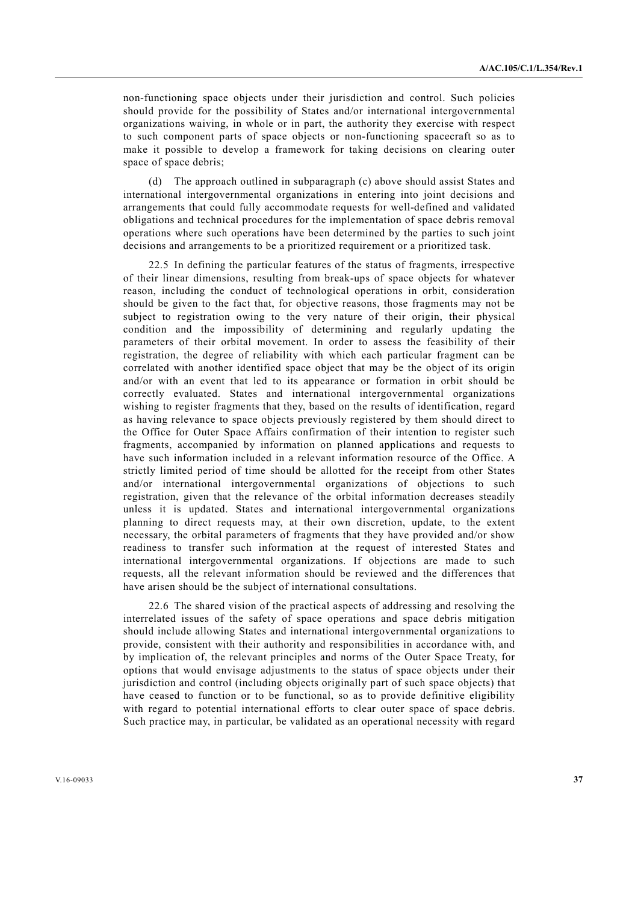non-functioning space objects under their jurisdiction and control. Such policies should provide for the possibility of States and/or international intergovernmental organizations waiving, in whole or in part, the authority they exercise with respect to such component parts of space objects or non-functioning spacecraft so as to make it possible to develop a framework for taking decisions on clearing outer space of space debris;

 (d) The approach outlined in subparagraph (c) above should assist States and international intergovernmental organizations in entering into joint decisions and arrangements that could fully accommodate requests for well-defined and validated obligations and technical procedures for the implementation of space debris removal operations where such operations have been determined by the parties to such joint decisions and arrangements to be a prioritized requirement or a prioritized task.

 22.5 In defining the particular features of the status of fragments, irrespective of their linear dimensions, resulting from break-ups of space objects for whatever reason, including the conduct of technological operations in orbit, consideration should be given to the fact that, for objective reasons, those fragments may not be subject to registration owing to the very nature of their origin, their physical condition and the impossibility of determining and regularly updating the parameters of their orbital movement. In order to assess the feasibility of their registration, the degree of reliability with which each particular fragment can be correlated with another identified space object that may be the object of its origin and/or with an event that led to its appearance or formation in orbit should be correctly evaluated. States and international intergovernmental organizations wishing to register fragments that they, based on the results of identification, regard as having relevance to space objects previously registered by them should direct to the Office for Outer Space Affairs confirmation of their intention to register such fragments, accompanied by information on planned applications and requests to have such information included in a relevant information resource of the Office. A strictly limited period of time should be allotted for the receipt from other States and/or international intergovernmental organizations of objections to such registration, given that the relevance of the orbital information decreases steadily unless it is updated. States and international intergovernmental organizations planning to direct requests may, at their own discretion, update, to the extent necessary, the orbital parameters of fragments that they have provided and/or show readiness to transfer such information at the request of interested States and international intergovernmental organizations. If objections are made to such requests, all the relevant information should be reviewed and the differences that have arisen should be the subject of international consultations.

 22.6 The shared vision of the practical aspects of addressing and resolving the interrelated issues of the safety of space operations and space debris mitigation should include allowing States and international intergovernmental organizations to provide, consistent with their authority and responsibilities in accordance with, and by implication of, the relevant principles and norms of the Outer Space Treaty, for options that would envisage adjustments to the status of space objects under their jurisdiction and control (including objects originally part of such space objects) that have ceased to function or to be functional, so as to provide definitive eligibility with regard to potential international efforts to clear outer space of space debris. Such practice may, in particular, be validated as an operational necessity with regard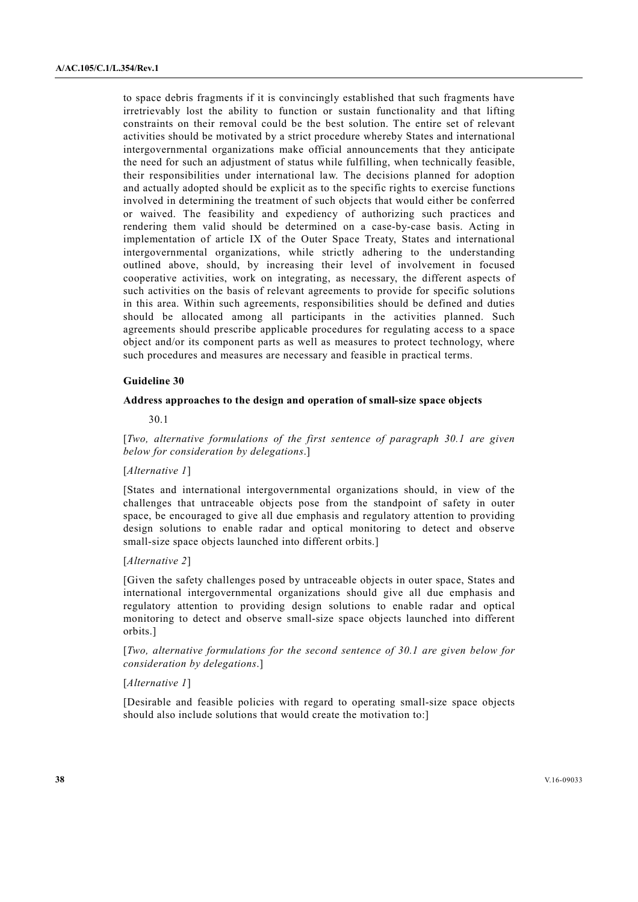to space debris fragments if it is convincingly established that such fragments have irretrievably lost the ability to function or sustain functionality and that lifting constraints on their removal could be the best solution. The entire set of relevant activities should be motivated by a strict procedure whereby States and international intergovernmental organizations make official announcements that they anticipate the need for such an adjustment of status while fulfilling, when technically feasible, their responsibilities under international law. The decisions planned for adoption and actually adopted should be explicit as to the specific rights to exercise functions involved in determining the treatment of such objects that would either be conferred or waived. The feasibility and expediency of authorizing such practices and rendering them valid should be determined on a case-by-case basis. Acting in implementation of article IX of the Outer Space Treaty, States and international intergovernmental organizations, while strictly adhering to the understanding outlined above, should, by increasing their level of involvement in focused cooperative activities, work on integrating, as necessary, the different aspects of such activities on the basis of relevant agreements to provide for specific solutions in this area. Within such agreements, responsibilities should be defined and duties should be allocated among all participants in the activities planned. Such agreements should prescribe applicable procedures for regulating access to a space object and/or its component parts as well as measures to protect technology, where such procedures and measures are necessary and feasible in practical terms.

#### **Guideline 30**

#### **Address approaches to the design and operation of small-size space objects**

30.1

[*Two, alternative formulations of the first sentence of paragraph 30.1 are given below for consideration by delegations*.]

## [*Alternative 1*]

[States and international intergovernmental organizations should, in view of the challenges that untraceable objects pose from the standpoint of safety in outer space, be encouraged to give all due emphasis and regulatory attention to providing design solutions to enable radar and optical monitoring to detect and observe small-size space objects launched into different orbits.]

#### [*Alternative 2*]

[Given the safety challenges posed by untraceable objects in outer space, States and international intergovernmental organizations should give all due emphasis and regulatory attention to providing design solutions to enable radar and optical monitoring to detect and observe small-size space objects launched into different orbits.]

[*Two, alternative formulations for the second sentence of 30.1 are given below for consideration by delegations*.]

# [*Alternative 1*]

[Desirable and feasible policies with regard to operating small-size space objects should also include solutions that would create the motivation to:]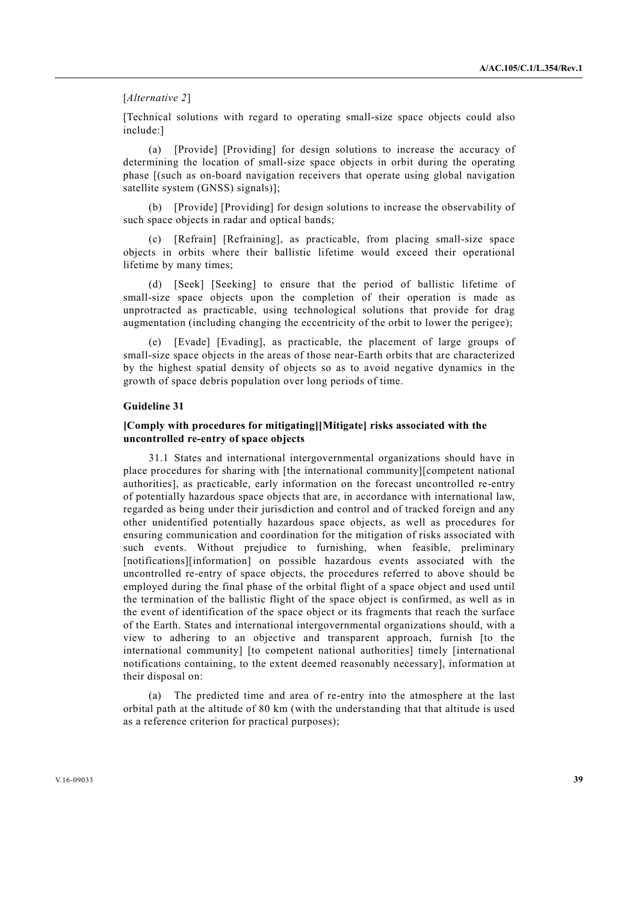#### [*Alternative 2*]

[Technical solutions with regard to operating small-size space objects could also include:]

 (a) [Provide] [Providing] for design solutions to increase the accuracy of determining the location of small-size space objects in orbit during the operating phase [(such as on-board navigation receivers that operate using global navigation satellite system (GNSS) signals)];

 (b) [Provide] [Providing] for design solutions to increase the observability of such space objects in radar and optical bands;

 (c) [Refrain] [Refraining], as practicable, from placing small-size space objects in orbits where their ballistic lifetime would exceed their operational lifetime by many times;

 (d) [Seek] [Seeking] to ensure that the period of ballistic lifetime of small-size space objects upon the completion of their operation is made as unprotracted as practicable, using technological solutions that provide for drag augmentation (including changing the eccentricity of the orbit to lower the perigee);

 (e) [Evade] [Evading], as practicable, the placement of large groups of small-size space objects in the areas of those near-Earth orbits that are characterized by the highest spatial density of objects so as to avoid negative dynamics in the growth of space debris population over long periods of time.

# **Guideline 31**

## **[Comply with procedures for mitigating][Mitigate] risks associated with the uncontrolled re-entry of space objects**

 31.1 States and international intergovernmental organizations should have in place procedures for sharing with [the international community][competent national authorities], as practicable, early information on the forecast uncontrolled re-entry of potentially hazardous space objects that are, in accordance with international law, regarded as being under their jurisdiction and control and of tracked foreign and any other unidentified potentially hazardous space objects, as well as procedures for ensuring communication and coordination for the mitigation of risks associated with such events. Without prejudice to furnishing, when feasible, preliminary [notifications][information] on possible hazardous events associated with the uncontrolled re-entry of space objects, the procedures referred to above should be employed during the final phase of the orbital flight of a space object and used until the termination of the ballistic flight of the space object is confirmed, as well as in the event of identification of the space object or its fragments that reach the surface of the Earth. States and international intergovernmental organizations should, with a view to adhering to an objective and transparent approach, furnish [to the international community] [to competent national authorities] timely [international notifications containing, to the extent deemed reasonably necessary], information at their disposal on:

 (a) The predicted time and area of re-entry into the atmosphere at the last orbital path at the altitude of 80 km (with the understanding that that altitude is used as a reference criterion for practical purposes);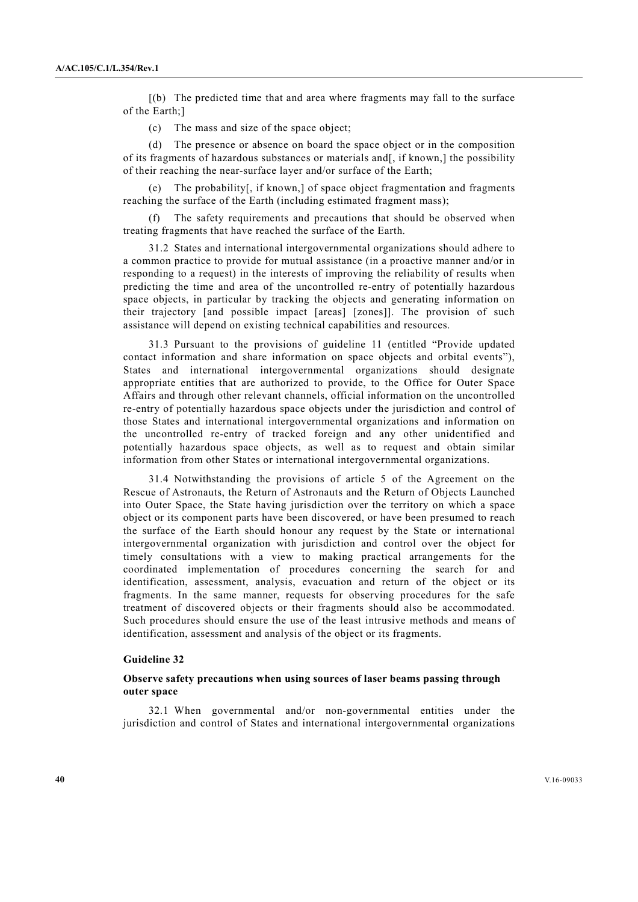[(b) The predicted time that and area where fragments may fall to the surface of the Earth;]

(c) The mass and size of the space object;

 (d) The presence or absence on board the space object or in the composition of its fragments of hazardous substances or materials and[, if known,] the possibility of their reaching the near-surface layer and/or surface of the Earth;

The probability[, if known,] of space object fragmentation and fragments reaching the surface of the Earth (including estimated fragment mass);

 (f) The safety requirements and precautions that should be observed when treating fragments that have reached the surface of the Earth.

 31.2 States and international intergovernmental organizations should adhere to a common practice to provide for mutual assistance (in a proactive manner and/or in responding to a request) in the interests of improving the reliability of results when predicting the time and area of the uncontrolled re-entry of potentially hazardous space objects, in particular by tracking the objects and generating information on their trajectory [and possible impact [areas] [zones]]. The provision of such assistance will depend on existing technical capabilities and resources.

 31.3 Pursuant to the provisions of guideline 11 (entitled "Provide updated contact information and share information on space objects and orbital events"), States and international intergovernmental organizations should designate appropriate entities that are authorized to provide, to the Office for Outer Space Affairs and through other relevant channels, official information on the uncontrolled re-entry of potentially hazardous space objects under the jurisdiction and control of those States and international intergovernmental organizations and information on the uncontrolled re-entry of tracked foreign and any other unidentified and potentially hazardous space objects, as well as to request and obtain similar information from other States or international intergovernmental organizations.

 31.4 Notwithstanding the provisions of article 5 of the Agreement on the Rescue of Astronauts, the Return of Astronauts and the Return of Objects Launched into Outer Space, the State having jurisdiction over the territory on which a space object or its component parts have been discovered, or have been presumed to reach the surface of the Earth should honour any request by the State or international intergovernmental organization with jurisdiction and control over the object for timely consultations with a view to making practical arrangements for the coordinated implementation of procedures concerning the search for and identification, assessment, analysis, evacuation and return of the object or its fragments. In the same manner, requests for observing procedures for the safe treatment of discovered objects or their fragments should also be accommodated. Such procedures should ensure the use of the least intrusive methods and means of identification, assessment and analysis of the object or its fragments.

#### **Guideline 32**

#### **Observe safety precautions when using sources of laser beams passing through outer space**

 32.1 When governmental and/or non-governmental entities under the jurisdiction and control of States and international intergovernmental organizations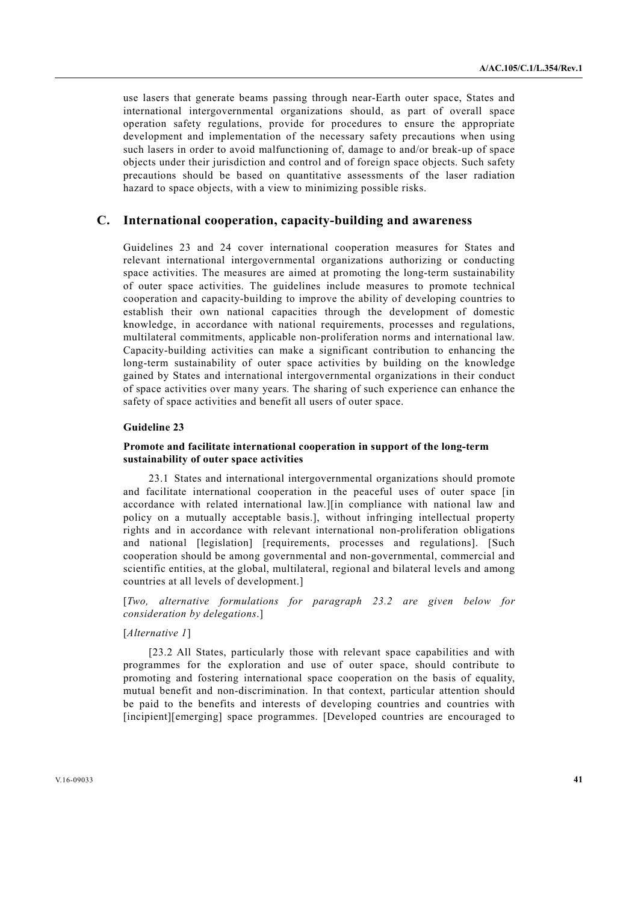use lasers that generate beams passing through near-Earth outer space, States and international intergovernmental organizations should, as part of overall space operation safety regulations, provide for procedures to ensure the appropriate development and implementation of the necessary safety precautions when using such lasers in order to avoid malfunctioning of, damage to and/or break-up of space objects under their jurisdiction and control and of foreign space objects. Such safety precautions should be based on quantitative assessments of the laser radiation hazard to space objects, with a view to minimizing possible risks.

# **C. International cooperation, capacity-building and awareness**

Guidelines 23 and 24 cover international cooperation measures for States and relevant international intergovernmental organizations authorizing or conducting space activities. The measures are aimed at promoting the long-term sustainability of outer space activities. The guidelines include measures to promote technical cooperation and capacity-building to improve the ability of developing countries to establish their own national capacities through the development of domestic knowledge, in accordance with national requirements, processes and regulations, multilateral commitments, applicable non-proliferation norms and international law. Capacity-building activities can make a significant contribution to enhancing the long-term sustainability of outer space activities by building on the knowledge gained by States and international intergovernmental organizations in their conduct of space activities over many years. The sharing of such experience can enhance the safety of space activities and benefit all users of outer space.

# **Guideline 23**

### **Promote and facilitate international cooperation in support of the long-term sustainability of outer space activities**

 23.1 States and international intergovernmental organizations should promote and facilitate international cooperation in the peaceful uses of outer space [in accordance with related international law.][in compliance with national law and policy on a mutually acceptable basis.], without infringing intellectual property rights and in accordance with relevant international non-proliferation obligations and national [legislation] [requirements, processes and regulations]. [Such cooperation should be among governmental and non-governmental, commercial and scientific entities, at the global, multilateral, regional and bilateral levels and among countries at all levels of development.]

[*Two, alternative formulations for paragraph 23.2 are given below for consideration by delegations*.]

# [*Alternative 1*]

[23.2 All States, particularly those with relevant space capabilities and with programmes for the exploration and use of outer space, should contribute to promoting and fostering international space cooperation on the basis of equality, mutual benefit and non-discrimination. In that context, particular attention should be paid to the benefits and interests of developing countries and countries with [incipient][emerging] space programmes. [Developed countries are encouraged to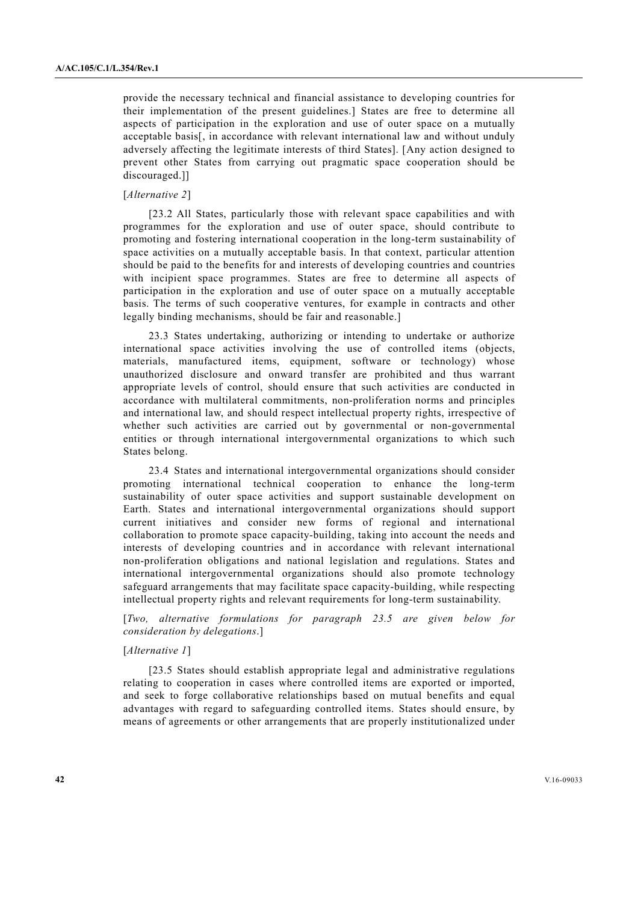provide the necessary technical and financial assistance to developing countries for their implementation of the present guidelines.] States are free to determine all aspects of participation in the exploration and use of outer space on a mutually acceptable basis[, in accordance with relevant international law and without unduly adversely affecting the legitimate interests of third States]. [Any action designed to prevent other States from carrying out pragmatic space cooperation should be discouraged.]]

# [*Alternative 2*]

 [23.2 All States, particularly those with relevant space capabilities and with programmes for the exploration and use of outer space, should contribute to promoting and fostering international cooperation in the long-term sustainability of space activities on a mutually acceptable basis. In that context, particular attention should be paid to the benefits for and interests of developing countries and countries with incipient space programmes. States are free to determine all aspects of participation in the exploration and use of outer space on a mutually acceptable basis. The terms of such cooperative ventures, for example in contracts and other legally binding mechanisms, should be fair and reasonable.]

 23.3 States undertaking, authorizing or intending to undertake or authorize international space activities involving the use of controlled items (objects, materials, manufactured items, equipment, software or technology) whose unauthorized disclosure and onward transfer are prohibited and thus warrant appropriate levels of control, should ensure that such activities are conducted in accordance with multilateral commitments, non-proliferation norms and principles and international law, and should respect intellectual property rights, irrespective of whether such activities are carried out by governmental or non-governmental entities or through international intergovernmental organizations to which such States belong.

 23.4 States and international intergovernmental organizations should consider promoting international technical cooperation to enhance the long-term sustainability of outer space activities and support sustainable development on Earth. States and international intergovernmental organizations should support current initiatives and consider new forms of regional and international collaboration to promote space capacity-building, taking into account the needs and interests of developing countries and in accordance with relevant international non-proliferation obligations and national legislation and regulations. States and international intergovernmental organizations should also promote technology safeguard arrangements that may facilitate space capacity-building, while respecting intellectual property rights and relevant requirements for long-term sustainability.

[*Two, alternative formulations for paragraph 23.5 are given below for consideration by delegations*.]

#### [*Alternative 1*]

 [23.5 States should establish appropriate legal and administrative regulations relating to cooperation in cases where controlled items are exported or imported, and seek to forge collaborative relationships based on mutual benefits and equal advantages with regard to safeguarding controlled items. States should ensure, by means of agreements or other arrangements that are properly institutionalized under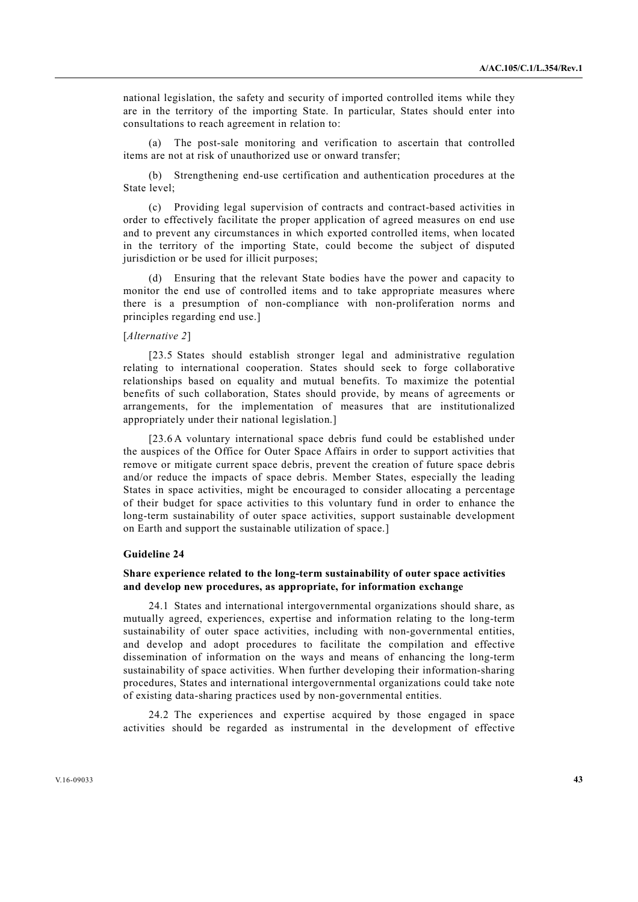national legislation, the safety and security of imported controlled items while they are in the territory of the importing State. In particular, States should enter into consultations to reach agreement in relation to:

 (a) The post-sale monitoring and verification to ascertain that controlled items are not at risk of unauthorized use or onward transfer;

 (b) Strengthening end-use certification and authentication procedures at the State level;

 (c) Providing legal supervision of contracts and contract-based activities in order to effectively facilitate the proper application of agreed measures on end use and to prevent any circumstances in which exported controlled items, when located in the territory of the importing State, could become the subject of disputed jurisdiction or be used for illicit purposes;

 (d) Ensuring that the relevant State bodies have the power and capacity to monitor the end use of controlled items and to take appropriate measures where there is a presumption of non-compliance with non-proliferation norms and principles regarding end use.]

#### [*Alternative 2*]

[23.5 States should establish stronger legal and administrative regulation relating to international cooperation. States should seek to forge collaborative relationships based on equality and mutual benefits. To maximize the potential benefits of such collaboration, States should provide, by means of agreements or arrangements, for the implementation of measures that are institutionalized appropriately under their national legislation.]

 [23.6 A voluntary international space debris fund could be established under the auspices of the Office for Outer Space Affairs in order to support activities that remove or mitigate current space debris, prevent the creation of future space debris and/or reduce the impacts of space debris. Member States, especially the leading States in space activities, might be encouraged to consider allocating a percentage of their budget for space activities to this voluntary fund in order to enhance the long-term sustainability of outer space activities, support sustainable development on Earth and support the sustainable utilization of space.]

# **Guideline 24**

# **Share experience related to the long-term sustainability of outer space activities and develop new procedures, as appropriate, for information exchange**

 24.1 States and international intergovernmental organizations should share, as mutually agreed, experiences, expertise and information relating to the long-term sustainability of outer space activities, including with non-governmental entities, and develop and adopt procedures to facilitate the compilation and effective dissemination of information on the ways and means of enhancing the long-term sustainability of space activities. When further developing their information-sharing procedures, States and international intergovernmental organizations could take note of existing data-sharing practices used by non-governmental entities.

 24.2 The experiences and expertise acquired by those engaged in space activities should be regarded as instrumental in the development of effective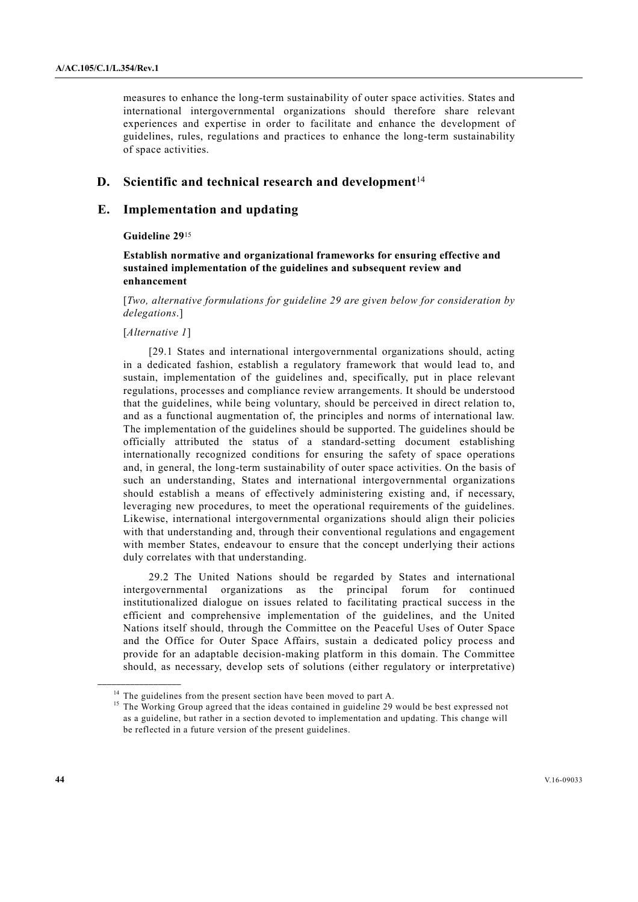measures to enhance the long-term sustainability of outer space activities. States and international intergovernmental organizations should therefore share relevant experiences and expertise in order to facilitate and enhance the development of guidelines, rules, regulations and practices to enhance the long-term sustainability of space activities.

# **D.** Scientific and technical research and development<sup>14</sup>

# **E. Implementation and updating**

### **Guideline 29**<sup>15</sup>

# **Establish normative and organizational frameworks for ensuring effective and sustained implementation of the guidelines and subsequent review and enhancement**

[*Two, alternative formulations for guideline 29 are given below for consideration by delegations*.]

#### [*Alternative 1*]

**\_\_\_\_\_\_\_\_\_\_\_\_\_\_\_\_\_\_** 

 [29.1 States and international intergovernmental organizations should, acting in a dedicated fashion, establish a regulatory framework that would lead to, and sustain, implementation of the guidelines and, specifically, put in place relevant regulations, processes and compliance review arrangements. It should be understood that the guidelines, while being voluntary, should be perceived in direct relation to, and as a functional augmentation of, the principles and norms of international law. The implementation of the guidelines should be supported. The guidelines should be officially attributed the status of a standard-setting document establishing internationally recognized conditions for ensuring the safety of space operations and, in general, the long-term sustainability of outer space activities. On the basis of such an understanding, States and international intergovernmental organizations should establish a means of effectively administering existing and, if necessary, leveraging new procedures, to meet the operational requirements of the guidelines. Likewise, international intergovernmental organizations should align their policies with that understanding and, through their conventional regulations and engagement with member States, endeavour to ensure that the concept underlying their actions duly correlates with that understanding.

 29.2 The United Nations should be regarded by States and international intergovernmental organizations as the principal forum for continued institutionalized dialogue on issues related to facilitating practical success in the efficient and comprehensive implementation of the guidelines, and the United Nations itself should, through the Committee on the Peaceful Uses of Outer Space and the Office for Outer Space Affairs, sustain a dedicated policy process and provide for an adaptable decision-making platform in this domain. The Committee should, as necessary, develop sets of solutions (either regulatory or interpretative)

 $14$  The guidelines from the present section have been moved to part A.

<sup>&</sup>lt;sup>15</sup> The Working Group agreed that the ideas contained in guideline 29 would be best expressed not as a guideline, but rather in a section devoted to implementation and updating. This change will be reflected in a future version of the present guidelines.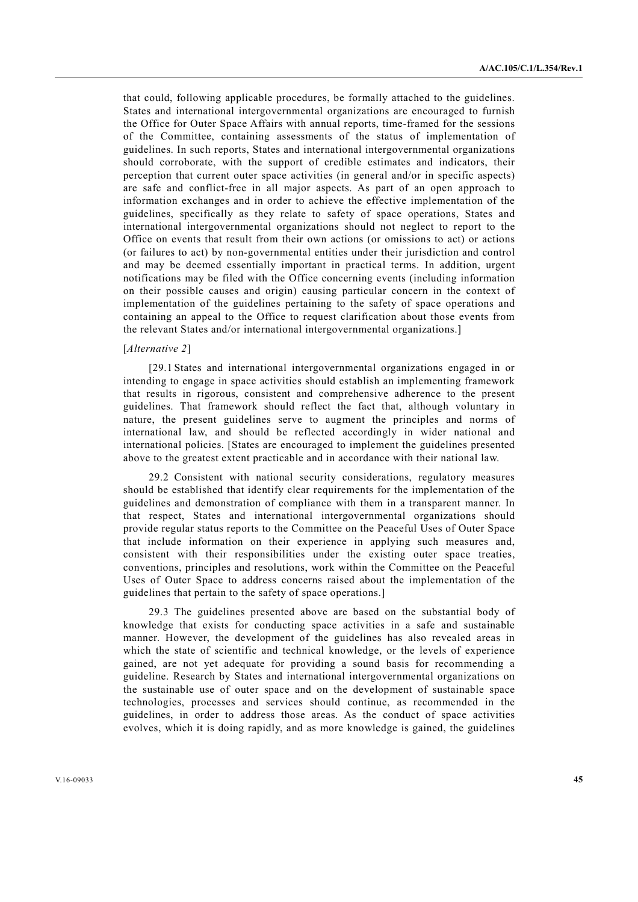that could, following applicable procedures, be formally attached to the guidelines. States and international intergovernmental organizations are encouraged to furnish the Office for Outer Space Affairs with annual reports, time-framed for the sessions of the Committee, containing assessments of the status of implementation of guidelines. In such reports, States and international intergovernmental organizations should corroborate, with the support of credible estimates and indicators, their perception that current outer space activities (in general and/or in specific aspects) are safe and conflict-free in all major aspects. As part of an open approach to information exchanges and in order to achieve the effective implementation of the guidelines, specifically as they relate to safety of space operations, States and international intergovernmental organizations should not neglect to report to the Office on events that result from their own actions (or omissions to act) or actions (or failures to act) by non-governmental entities under their jurisdiction and control and may be deemed essentially important in practical terms. In addition, urgent notifications may be filed with the Office concerning events (including information on their possible causes and origin) causing particular concern in the context of implementation of the guidelines pertaining to the safety of space operations and containing an appeal to the Office to request clarification about those events from the relevant States and/or international intergovernmental organizations.]

#### [*Alternative 2*]

 [29.1 States and international intergovernmental organizations engaged in or intending to engage in space activities should establish an implementing framework that results in rigorous, consistent and comprehensive adherence to the present guidelines. That framework should reflect the fact that, although voluntary in nature, the present guidelines serve to augment the principles and norms of international law, and should be reflected accordingly in wider national and international policies. [States are encouraged to implement the guidelines presented above to the greatest extent practicable and in accordance with their national law.

 29.2 Consistent with national security considerations, regulatory measures should be established that identify clear requirements for the implementation of the guidelines and demonstration of compliance with them in a transparent manner. In that respect, States and international intergovernmental organizations should provide regular status reports to the Committee on the Peaceful Uses of Outer Space that include information on their experience in applying such measures and, consistent with their responsibilities under the existing outer space treaties, conventions, principles and resolutions, work within the Committee on the Peaceful Uses of Outer Space to address concerns raised about the implementation of the guidelines that pertain to the safety of space operations.]

 29.3 The guidelines presented above are based on the substantial body of knowledge that exists for conducting space activities in a safe and sustainable manner. However, the development of the guidelines has also revealed areas in which the state of scientific and technical knowledge, or the levels of experience gained, are not yet adequate for providing a sound basis for recommending a guideline. Research by States and international intergovernmental organizations on the sustainable use of outer space and on the development of sustainable space technologies, processes and services should continue, as recommended in the guidelines, in order to address those areas. As the conduct of space activities evolves, which it is doing rapidly, and as more knowledge is gained, the guidelines